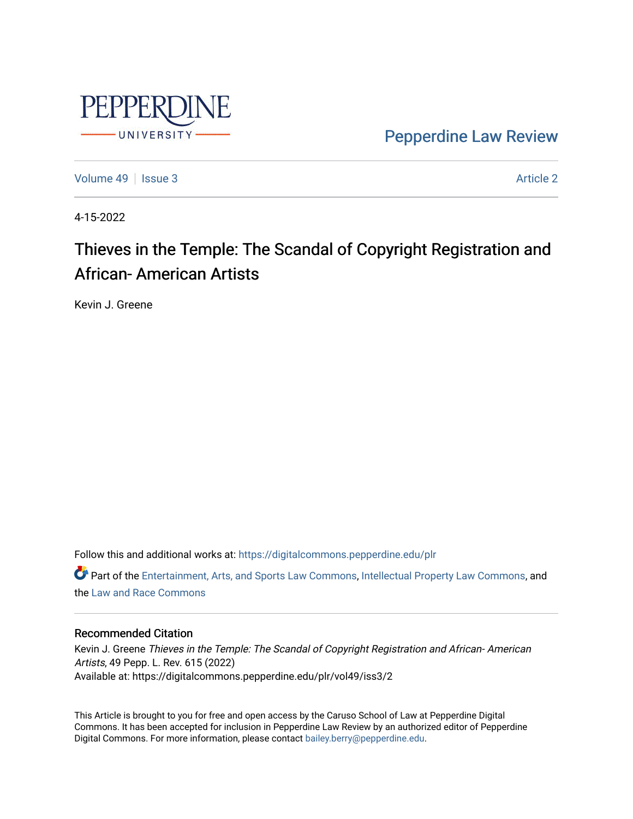

[Pepperdine Law Review](https://digitalcommons.pepperdine.edu/plr) 

[Volume 49](https://digitalcommons.pepperdine.edu/plr/vol49) | [Issue 3](https://digitalcommons.pepperdine.edu/plr/vol49/iss3) [Article 2](https://digitalcommons.pepperdine.edu/plr/vol49/iss3/2) Article 2

4-15-2022

# Thieves in the Temple: The Scandal of Copyright Registration and African- American Artists

Kevin J. Greene

Follow this and additional works at: [https://digitalcommons.pepperdine.edu/plr](https://digitalcommons.pepperdine.edu/plr?utm_source=digitalcommons.pepperdine.edu%2Fplr%2Fvol49%2Fiss3%2F2&utm_medium=PDF&utm_campaign=PDFCoverPages)

Part of the [Entertainment, Arts, and Sports Law Commons](http://network.bepress.com/hgg/discipline/893?utm_source=digitalcommons.pepperdine.edu%2Fplr%2Fvol49%2Fiss3%2F2&utm_medium=PDF&utm_campaign=PDFCoverPages), [Intellectual Property Law Commons](http://network.bepress.com/hgg/discipline/896?utm_source=digitalcommons.pepperdine.edu%2Fplr%2Fvol49%2Fiss3%2F2&utm_medium=PDF&utm_campaign=PDFCoverPages), and the [Law and Race Commons](http://network.bepress.com/hgg/discipline/1300?utm_source=digitalcommons.pepperdine.edu%2Fplr%2Fvol49%2Fiss3%2F2&utm_medium=PDF&utm_campaign=PDFCoverPages)

# Recommended Citation

Kevin J. Greene Thieves in the Temple: The Scandal of Copyright Registration and African- American Artists, 49 Pepp. L. Rev. 615 (2022) Available at: https://digitalcommons.pepperdine.edu/plr/vol49/iss3/2

This Article is brought to you for free and open access by the Caruso School of Law at Pepperdine Digital Commons. It has been accepted for inclusion in Pepperdine Law Review by an authorized editor of Pepperdine Digital Commons. For more information, please contact [bailey.berry@pepperdine.edu.](mailto:bailey.berry@pepperdine.edu)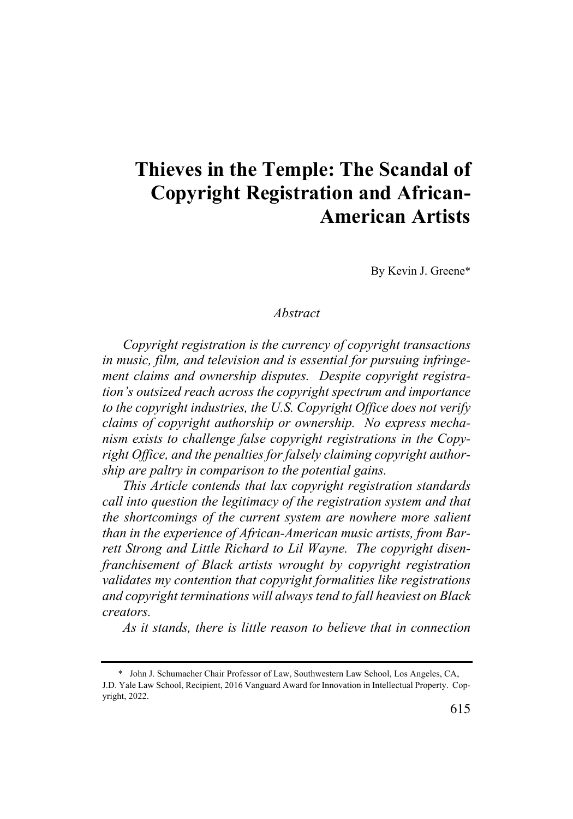# **Thieves in the Temple: The Scandal of Copyright Registration and African-American Artists**

By Kevin J. Greene\*

# *Abstract*

*Copyright registration is the currency of copyright transactions in music, film, and television and is essential for pursuing infringement claims and ownership disputes. Despite copyright registration's outsized reach across the copyright spectrum and importance to the copyright industries, the U.S. Copyright Office does not verify claims of copyright authorship or ownership. No express mechanism exists to challenge false copyright registrations in the Copyright Office, and the penalties for falsely claiming copyright authorship are paltry in comparison to the potential gains.*

*This Article contends that lax copyright registration standards call into question the legitimacy of the registration system and that the shortcomings of the current system are nowhere more salient than in the experience of African-American music artists, from Barrett Strong and Little Richard to Lil Wayne. The copyright disenfranchisement of Black artists wrought by copyright registration validates my contention that copyright formalities like registrations and copyright terminations will always tend to fall heaviest on Black creators.*

*As it stands, there is little reason to believe that in connection* 

<sup>\*</sup> John J. Schumacher Chair Professor of Law, Southwestern Law School, Los Angeles, CA, J.D. Yale Law School, Recipient, 2016 Vanguard Award for Innovation in Intellectual Property. Copyright, 2022.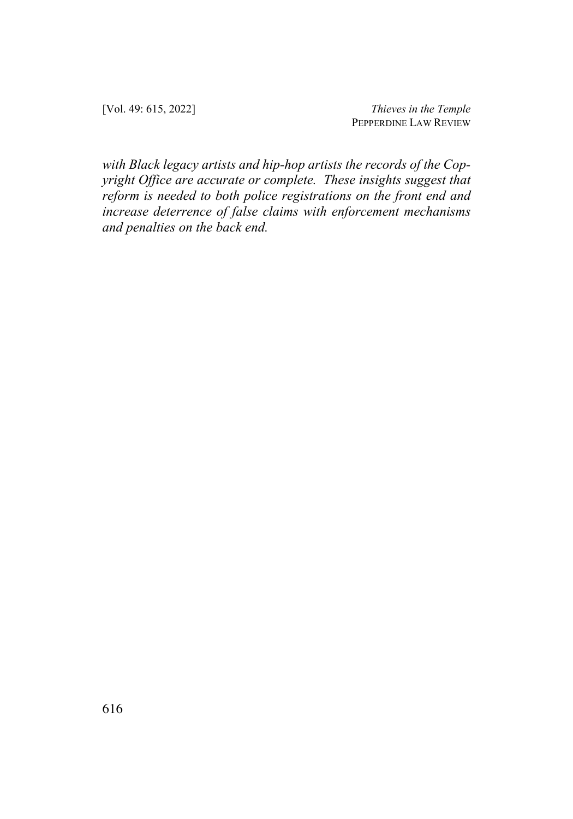[Vol. 49: 615, 2022] *Thieves in the Temple* PEPPERDINE LAW REVIEW

*with Black legacy artists and hip-hop artists the records of the Copyright Office are accurate or complete. These insights suggest that reform is needed to both police registrations on the front end and increase deterrence of false claims with enforcement mechanisms and penalties on the back end.*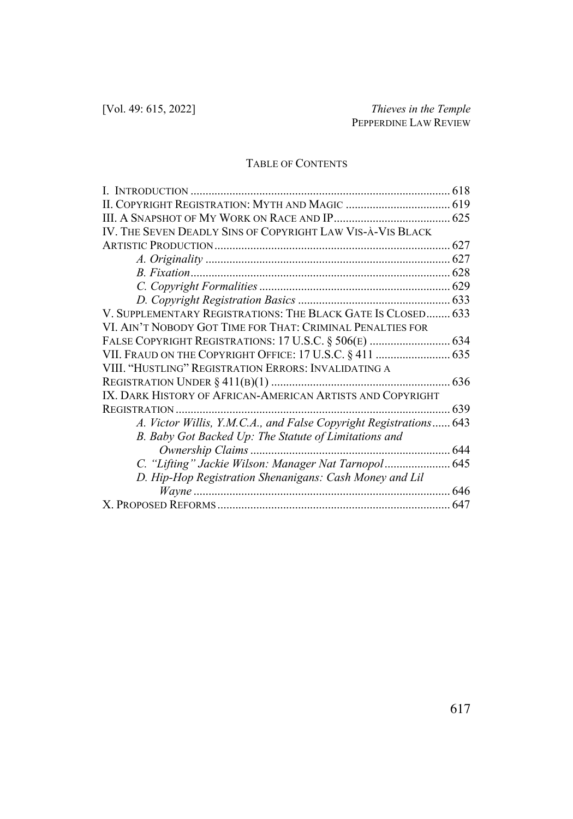# TABLE OF CONTENTS

| IV. THE SEVEN DEADLY SINS OF COPYRIGHT LAW VIS-À-VIS BLACK        |     |
|-------------------------------------------------------------------|-----|
|                                                                   |     |
|                                                                   |     |
|                                                                   |     |
|                                                                   |     |
|                                                                   |     |
| V. SUPPLEMENTARY REGISTRATIONS: THE BLACK GATE IS CLOSED 633      |     |
| VI. AIN'T NOBODY GOT TIME FOR THAT: CRIMINAL PENALTIES FOR        |     |
| FALSE COPYRIGHT REGISTRATIONS: 17 U.S.C. § 506(E)  634            |     |
|                                                                   |     |
| VIII. "HUSTLING" REGISTRATION ERRORS: INVALIDATING A              |     |
|                                                                   |     |
| IX. DARK HISTORY OF AFRICAN-AMERICAN ARTISTS AND COPYRIGHT        |     |
| REGISTRATION                                                      | 639 |
| A. Victor Willis, Y.M.C.A., and False Copyright Registrations 643 |     |
| B. Baby Got Backed Up: The Statute of Limitations and             |     |
|                                                                   |     |
| C. "Lifting" Jackie Wilson: Manager Nat Tarnopol  645             |     |
| D. Hip-Hop Registration Shenanigans: Cash Money and Lil           |     |
|                                                                   |     |
|                                                                   |     |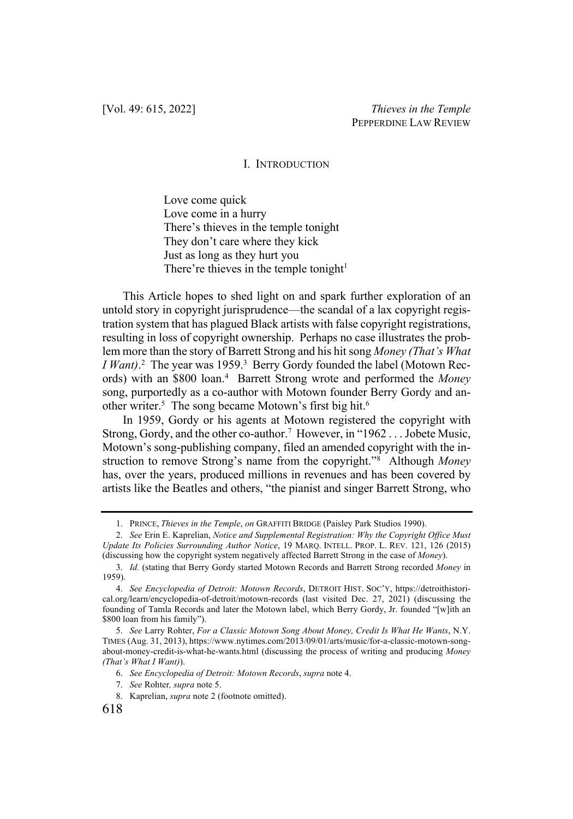#### I. INTRODUCTION

Love come quick Love come in a hurry There's thieves in the temple tonight They don't care where they kick Just as long as they hurt you There're thieves in the temple tonight $1$ 

This Article hopes to shed light on and spark further exploration of an untold story in copyright jurisprudence—the scandal of a lax copyright registration system that has plagued Black artists with false copyright registrations, resulting in loss of copyright ownership. Perhaps no case illustrates the problem more than the story of Barrett Strong and his hit song *Money (That's What I Want*).<sup>2</sup> The year was 1959.<sup>3</sup> Berry Gordy founded the label (Motown Records) with an \$800 loan.4 Barrett Strong wrote and performed the *Money* song, purportedly as a co-author with Motown founder Berry Gordy and another writer.<sup>5</sup> The song became Motown's first big hit.<sup>6</sup>

In 1959, Gordy or his agents at Motown registered the copyright with Strong, Gordy, and the other co-author.<sup>7</sup> However, in "1962... Jobete Music, Motown's song-publishing company, filed an amended copyright with the instruction to remove Strong's name from the copyright."8 Although *Money* has, over the years, produced millions in revenues and has been covered by artists like the Beatles and others, "the pianist and singer Barrett Strong, who

<sup>1.</sup> PRINCE, *Thieves in the Temple*, *on* GRAFFITI BRIDGE (Paisley Park Studios 1990).

<sup>2.</sup> *See* Erin E. Kaprelian, *Notice and Supplemental Registration: Why the Copyright Office Must Update Its Policies Surrounding Author Notice*, 19 MARQ. INTELL. PROP. L. REV. 121, 126 (2015) (discussing how the copyright system negatively affected Barrett Strong in the case of *Money*).

<sup>3.</sup> *Id.* (stating that Berry Gordy started Motown Records and Barrett Strong recorded *Money* in 1959).

<sup>4.</sup> *See Encyclopedia of Detroit: Motown Records*, DETROIT HIST. SOC'Y, https://detroithistorical.org/learn/encyclopedia-of-detroit/motown-records (last visited Dec. 27, 2021) (discussing the founding of Tamla Records and later the Motown label, which Berry Gordy, Jr. founded "[w]ith an \$800 loan from his family").

<sup>5.</sup> *See* Larry Rohter, *For a Classic Motown Song About Money, Credit Is What He Wants*, N.Y. TIMES (Aug. 31, 2013), https://www.nytimes.com/2013/09/01/arts/music/for-a-classic-motown-songabout-money-credit-is-what-he-wants.html (discussing the process of writing and producing *Money (That's What I Want)*).

<sup>6.</sup> *See Encyclopedia of Detroit: Motown Records*, *supra* note 4.

<sup>7.</sup> *See* Rohter*, supra* note 5.

<sup>8.</sup> Kaprelian, *supra* note 2 (footnote omitted).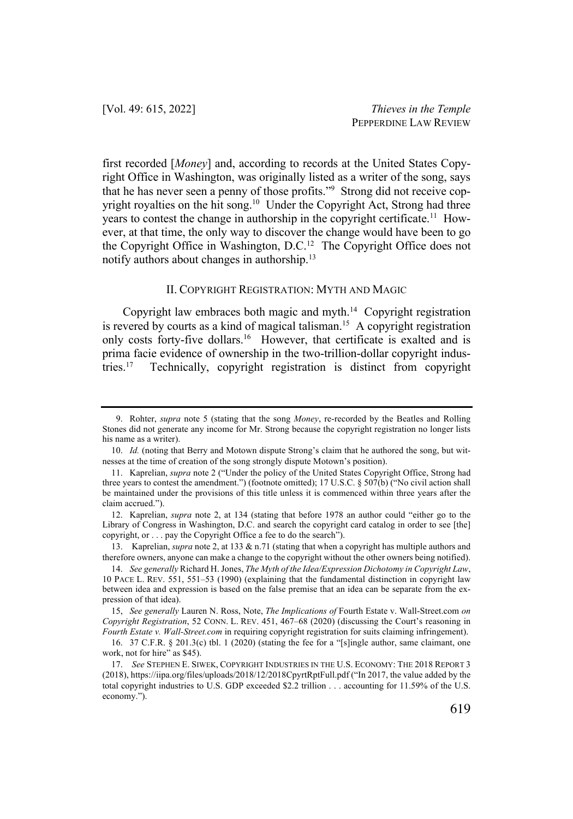first recorded [*Money*] and, according to records at the United States Copyright Office in Washington, was originally listed as a writer of the song, says that he has never seen a penny of those profits."9 Strong did not receive copyright royalties on the hit song.<sup>10</sup> Under the Copyright Act, Strong had three years to contest the change in authorship in the copyright certificate.<sup>11</sup> However, at that time, the only way to discover the change would have been to go the Copyright Office in Washington, D.C.12 The Copyright Office does not notify authors about changes in authorship.13

#### II. COPYRIGHT REGISTRATION: MYTH AND MAGIC

Copyright law embraces both magic and myth.14 Copyright registration is revered by courts as a kind of magical talisman.<sup>15</sup> A copyright registration only costs forty-five dollars.<sup>16</sup> However, that certificate is exalted and is prima facie evidence of ownership in the two-trillion-dollar copyright industries.17 Technically, copyright registration is distinct from copyright

<sup>9.</sup> Rohter, *supra* note 5 (stating that the song *Money*, re-recorded by the Beatles and Rolling Stones did not generate any income for Mr. Strong because the copyright registration no longer lists his name as a writer).

<sup>10.</sup> *Id.* (noting that Berry and Motown dispute Strong's claim that he authored the song, but witnesses at the time of creation of the song strongly dispute Motown's position).

<sup>11.</sup> Kaprelian, *supra* note 2 ("Under the policy of the United States Copyright Office, Strong had three years to contest the amendment.") (footnote omitted); 17 U.S.C. § 507(b) ("No civil action shall be maintained under the provisions of this title unless it is commenced within three years after the claim accrued.").

<sup>12.</sup> Kaprelian, *supra* note 2, at 134 (stating that before 1978 an author could "either go to the Library of Congress in Washington, D.C. and search the copyright card catalog in order to see [the] copyright, or . . . pay the Copyright Office a fee to do the search").

<sup>13.</sup> Kaprelian, *supra* note 2, at 133 & n.71 (stating that when a copyright has multiple authors and therefore owners, anyone can make a change to the copyright without the other owners being notified).

<sup>14.</sup> *See generally* Richard H. Jones, *The Myth of the Idea/Expression Dichotomy in Copyright Law*, 10 PACE L. REV. 551, 551–53 (1990) (explaining that the fundamental distinction in copyright law between idea and expression is based on the false premise that an idea can be separate from the expression of that idea).

<sup>15,</sup> *See generally* Lauren N. Ross, Note, *The Implications of* Fourth Estate v. Wall-Street.com *on Copyright Registration*, 52 CONN. L. REV. 451, 467–68 (2020) (discussing the Court's reasoning in *Fourth Estate v. Wall-Street.com* in requiring copyright registration for suits claiming infringement).

<sup>16.</sup> 37 C.F.R. § 201.3(c) tbl. 1 (2020) (stating the fee for a "[s]ingle author, same claimant, one work, not for hire" as \$45).

<sup>17.</sup> *See* STEPHEN E. SIWEK, COPYRIGHT INDUSTRIES IN THE U.S. ECONOMY: THE 2018 REPORT 3 (2018), https://iipa.org/files/uploads/2018/12/2018CpyrtRptFull.pdf ("In 2017, the value added by the total copyright industries to U.S. GDP exceeded \$2.2 trillion . . . accounting for 11.59% of the U.S. economy.").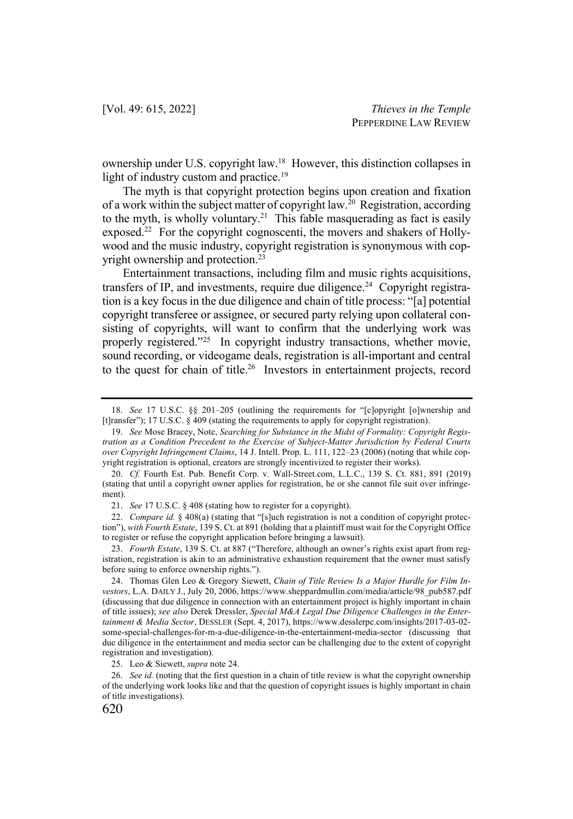ownership under U.S. copyright law.18 However, this distinction collapses in light of industry custom and practice.<sup>19</sup>

The myth is that copyright protection begins upon creation and fixation of a work within the subject matter of copyright law.<sup>20</sup> Registration, according to the myth, is wholly voluntary.<sup>21</sup> This fable masquerading as fact is easily exposed.<sup>22</sup> For the copyright cognoscenti, the movers and shakers of Hollywood and the music industry, copyright registration is synonymous with copyright ownership and protection.<sup>23</sup>

Entertainment transactions, including film and music rights acquisitions, transfers of IP, and investments, require due diligence.<sup>24</sup> Copyright registration is a key focus in the due diligence and chain of title process: "[a] potential copyright transferee or assignee, or secured party relying upon collateral consisting of copyrights, will want to confirm that the underlying work was properly registered."<sup>25</sup> In copyright industry transactions, whether movie, sound recording, or videogame deals, registration is all-important and central to the quest for chain of title.<sup>26</sup> Investors in entertainment projects, record

<sup>18.</sup> *See* 17 U.S.C. §§ 201–205 (outlining the requirements for "[c]opyright [o]wnership and [t]ransfer"); 17 U.S.C.  $\frac{8}{3}409$  (stating the requirements to apply for copyright registration).

<sup>19.</sup> *See* Mose Bracey, Note, *Searching for Substance in the Midst of Formality: Copyright Registration as a Condition Precedent to the Exercise of Subject-Matter Jurisdiction by Federal Courts over Copyright Infringement Claims*, 14 J. Intell. Prop. L. 111, 122–23 (2006) (noting that while copyright registration is optional, creators are strongly incentivized to register their works).

<sup>20.</sup> *Cf.* Fourth Est. Pub. Benefit Corp. v. Wall-Street.com, L.L.C., 139 S. Ct. 881, 891 (2019) (stating that until a copyright owner applies for registration, he or she cannot file suit over infringement).

<sup>21.</sup> *See* 17 U.S.C. § 408 (stating how to register for a copyright).

<sup>22.</sup> *Compare id.* § 408(a) (stating that "[s]uch registration is not a condition of copyright protection"), *with Fourth Estate*, 139 S. Ct. at 891 (holding that a plaintiff must wait for the Copyright Office to register or refuse the copyright application before bringing a lawsuit).

<sup>23.</sup> *Fourth Estate*, 139 S. Ct. at 887 ("Therefore, although an owner's rights exist apart from registration, registration is akin to an administrative exhaustion requirement that the owner must satisfy before suing to enforce ownership rights.").

<sup>24.</sup> Thomas Glen Leo & Gregory Siewett, *Chain of Title Review Is a Major Hurdle for Film Investors*, L.A. DAILY J., July 20, 2006, https://www.sheppardmullin.com/media/article/98\_pub587.pdf (discussing that due diligence in connection with an entertainment project is highly important in chain of title issues); *see also* Derek Dressler, *Special M&A Legal Due Diligence Challenges in the Entertainment & Media Sector*, DESSLER (Sept. 4, 2017), https://www.desslerpc.com/insights/2017-03-02 some-special-challenges-for-m-a-due-diligence-in-the-entertainment-media-sector (discussing that due diligence in the entertainment and media sector can be challenging due to the extent of copyright registration and investigation).

<sup>25.</sup> Leo & Siewett, *supra* note 24.

<sup>26.</sup> *See id.* (noting that the first question in a chain of title review is what the copyright ownership of the underlying work looks like and that the question of copyright issues is highly important in chain of title investigations).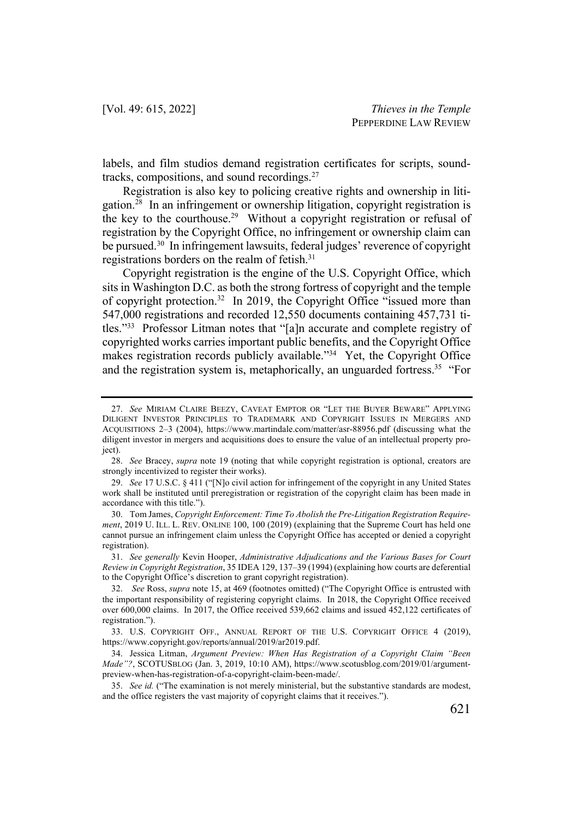labels, and film studios demand registration certificates for scripts, soundtracks, compositions, and sound recordings. $27$ 

Registration is also key to policing creative rights and ownership in litigation.28 In an infringement or ownership litigation, copyright registration is the key to the courthouse.<sup>29</sup> Without a copyright registration or refusal of registration by the Copyright Office, no infringement or ownership claim can be pursued.<sup>30</sup> In infringement lawsuits, federal judges' reverence of copyright registrations borders on the realm of fetish.31

Copyright registration is the engine of the U.S. Copyright Office, which sits in Washington D.C. as both the strong fortress of copyright and the temple of copyright protection.32 In 2019, the Copyright Office "issued more than 547,000 registrations and recorded 12,550 documents containing 457,731 titles."33 Professor Litman notes that "[a]n accurate and complete registry of copyrighted works carries important public benefits, and the Copyright Office makes registration records publicly available."<sup>34</sup> Yet, the Copyright Office and the registration system is, metaphorically, an unguarded fortress.<sup>35</sup> "For

<sup>27.</sup> *See* MIRIAM CLAIRE BEEZY, CAVEAT EMPTOR OR "LET THE BUYER BEWARE" APPLYING DILIGENT INVESTOR PRINCIPLES TO TRADEMARK AND COPYRIGHT ISSUES IN MERGERS AND ACQUISITIONS 2–3 (2004), https://www.martindale.com/matter/asr-88956.pdf (discussing what the diligent investor in mergers and acquisitions does to ensure the value of an intellectual property project).

<sup>28.</sup> *See* Bracey, *supra* note 19 (noting that while copyright registration is optional, creators are strongly incentivized to register their works).

<sup>29.</sup> *See* 17 U.S.C. § 411 ("[N]o civil action for infringement of the copyright in any United States work shall be instituted until preregistration or registration of the copyright claim has been made in accordance with this title.").

<sup>30.</sup> Tom James, *Copyright Enforcement: Time To Abolish the Pre-Litigation Registration Requirement*, 2019 U. ILL. L. REV. ONLINE 100, 100 (2019) (explaining that the Supreme Court has held one cannot pursue an infringement claim unless the Copyright Office has accepted or denied a copyright registration).

<sup>31.</sup> *See generally* Kevin Hooper, *Administrative Adjudications and the Various Bases for Court Review in Copyright Registration*, 35 IDEA 129, 137–39 (1994) (explaining how courts are deferential to the Copyright Office's discretion to grant copyright registration).

<sup>32.</sup> *See* Ross, *supra* note 15, at 469 (footnotes omitted) ("The Copyright Office is entrusted with the important responsibility of registering copyright claims. In 2018, the Copyright Office received over 600,000 claims. In 2017, the Office received 539,662 claims and issued 452,122 certificates of registration.").

<sup>33.</sup> U.S. COPYRIGHT OFF., ANNUAL REPORT OF THE U.S. COPYRIGHT OFFICE 4 (2019), https://www.copyright.gov/reports/annual/2019/ar2019.pdf.

<sup>34.</sup> Jessica Litman, *Argument Preview: When Has Registration of a Copyright Claim "Been Made"?*, SCOTUSBLOG (Jan. 3, 2019, 10:10 AM), https://www.scotusblog.com/2019/01/argumentpreview-when-has-registration-of-a-copyright-claim-been-made/.

<sup>35.</sup> *See id.* ("The examination is not merely ministerial, but the substantive standards are modest, and the office registers the vast majority of copyright claims that it receives.").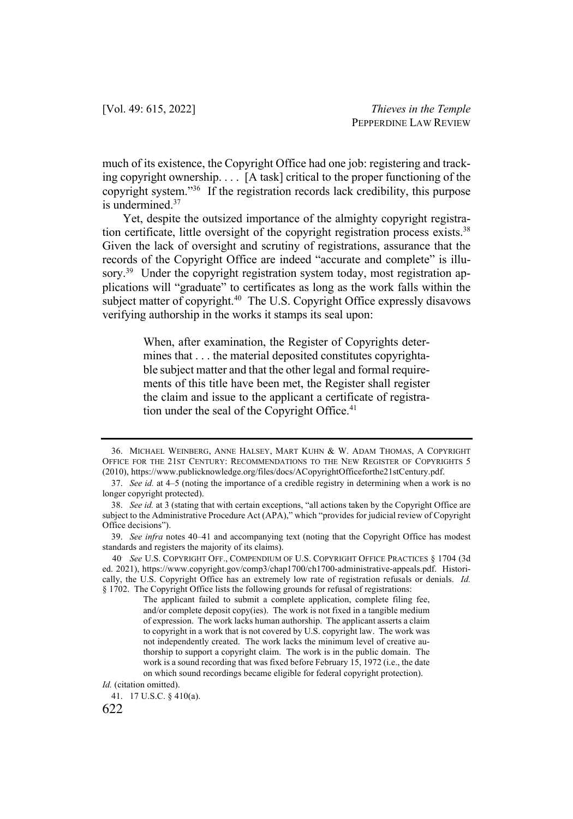much of its existence, the Copyright Office had one job: registering and tracking copyright ownership. . . . [A task] critical to the proper functioning of the copyright system."36 If the registration records lack credibility, this purpose is undermined.37

Yet, despite the outsized importance of the almighty copyright registration certificate, little oversight of the copyright registration process exists.<sup>38</sup> Given the lack of oversight and scrutiny of registrations, assurance that the records of the Copyright Office are indeed "accurate and complete" is illusory.<sup>39</sup> Under the copyright registration system today, most registration applications will "graduate" to certificates as long as the work falls within the subject matter of copyright.<sup>40</sup> The U.S. Copyright Office expressly disavows verifying authorship in the works it stamps its seal upon:

> When, after examination, the Register of Copyrights determines that . . . the material deposited constitutes copyrightable subject matter and that the other legal and formal requirements of this title have been met, the Register shall register the claim and issue to the applicant a certificate of registration under the seal of the Copyright Office.<sup>41</sup>

*Id.* (citation omitted).

<sup>36.</sup> MICHAEL WEINBERG, ANNE HALSEY, MART KUHN & W. ADAM THOMAS, A COPYRIGHT OFFICE FOR THE 21ST CENTURY: RECOMMENDATIONS TO THE NEW REGISTER OF COPYRIGHTS 5 (2010), https://www.publicknowledge.org/files/docs/ACopyrightOfficeforthe21stCentury.pdf.

<sup>37.</sup> *See id.* at 4–5 (noting the importance of a credible registry in determining when a work is no longer copyright protected).

<sup>38.</sup> *See id.* at 3 (stating that with certain exceptions, "all actions taken by the Copyright Office are subject to the Administrative Procedure Act (APA)," which "provides for judicial review of Copyright Office decisions").

<sup>39.</sup> *See infra* notes 40–41 and accompanying text (noting that the Copyright Office has modest standards and registers the majority of its claims).

<sup>40</sup>. *See* U.S. COPYRIGHT OFF., COMPENDIUM OF U.S. COPYRIGHT OFFICE PRACTICES § 1704 (3d ed. 2021), https://www.copyright.gov/comp3/chap1700/ch1700-administrative-appeals.pdf. Historically, the U.S. Copyright Office has an extremely low rate of registration refusals or denials. *Id.* § 1702. The Copyright Office lists the following grounds for refusal of registrations:

The applicant failed to submit a complete application, complete filing fee, and/or complete deposit copy(ies). The work is not fixed in a tangible medium of expression. The work lacks human authorship. The applicant asserts a claim to copyright in a work that is not covered by U.S. copyright law. The work was not independently created. The work lacks the minimum level of creative authorship to support a copyright claim. The work is in the public domain. The work is a sound recording that was fixed before February 15, 1972 (i.e., the date on which sound recordings became eligible for federal copyright protection).

<sup>41.</sup> 17 U.S.C. § 410(a).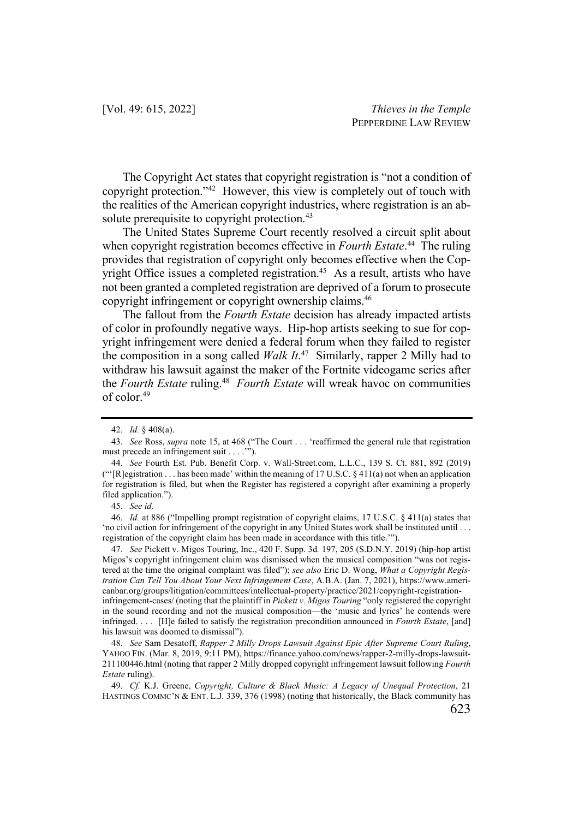The Copyright Act states that copyright registration is "not a condition of copyright protection."42 However, this view is completely out of touch with the realities of the American copyright industries, where registration is an absolute prerequisite to copyright protection.<sup>43</sup>

The United States Supreme Court recently resolved a circuit split about when copyright registration becomes effective in *Fourth Estate*. <sup>44</sup> The ruling provides that registration of copyright only becomes effective when the Copyright Office issues a completed registration.<sup>45</sup> As a result, artists who have not been granted a completed registration are deprived of a forum to prosecute copyright infringement or copyright ownership claims.46

The fallout from the *Fourth Estate* decision has already impacted artists of color in profoundly negative ways. Hip-hop artists seeking to sue for copyright infringement were denied a federal forum when they failed to register the composition in a song called *Walk It*. <sup>47</sup> Similarly, rapper 2 Milly had to withdraw his lawsuit against the maker of the Fortnite videogame series after the *Fourth Estate* ruling.48 *Fourth Estate* will wreak havoc on communities of color.49

47. *See* Pickett v. Migos Touring, Inc., 420 F. Supp. 3d*.* 197, 205 (S.D.N.Y. 2019) (hip-hop artist Migos's copyright infringement claim was dismissed when the musical composition "was not registered at the time the original complaint was filed"); *see also* Eric D. Wong, *What a Copyright Registration Can Tell You About Your Next Infringement Case*, A.B.A. (Jan. 7, 2021), https://www.americanbar.org/groups/litigation/committees/intellectual-property/practice/2021/copyright-registration-

infringement-cases/ (noting that the plaintiff in *Pickett v. Migos Touring* "only registered the copyright in the sound recording and not the musical composition—the 'music and lyrics' he contends were infringed. . . . [H]e failed to satisfy the registration precondition announced in *Fourth Estate*, [and] his lawsuit was doomed to dismissal").

48. *See* Sam Desatoff, *Rapper 2 Milly Drops Lawsuit Against Epic After Supreme Court Ruling*, YAHOO FIN. (Mar. 8, 2019, 9:11 PM), https://finance.yahoo.com/news/rapper-2-milly-drops-lawsuit-211100446.html (noting that rapper 2 Milly dropped copyright infringement lawsuit following *Fourth Estate* ruling).

49. *Cf.* K.J. Greene, *Copyright, Culture & Black Music: A Legacy of Unequal Protection*, 21 HASTINGS COMMC'N & ENT. L.J. 339, 376 (1998) (noting that historically, the Black community has

<sup>42.</sup> *Id.* § 408(a).

<sup>43.</sup> *See* Ross, *supra* note 15, at 468 ("The Court . . . 'reaffirmed the general rule that registration must precede an infringement suit . . . .'").

<sup>44.</sup> *See* Fourth Est. Pub. Benefit Corp. v. Wall-Street.com, L.L.C., 139 S. Ct. 881, 892 (2019) (" $[$ R]egistration . . . has been made' within the meaning of 17 U.S.C. § 411(a) not when an application for registration is filed, but when the Register has registered a copyright after examining a properly filed application.").

<sup>45.</sup> *See id.*

<sup>46.</sup> *Id.* at 886 ("Impelling prompt registration of copyright claims, 17 U.S.C. § 411(a) states that 'no civil action for infringement of the copyright in any United States work shall be instituted until . . . registration of the copyright claim has been made in accordance with this title.'").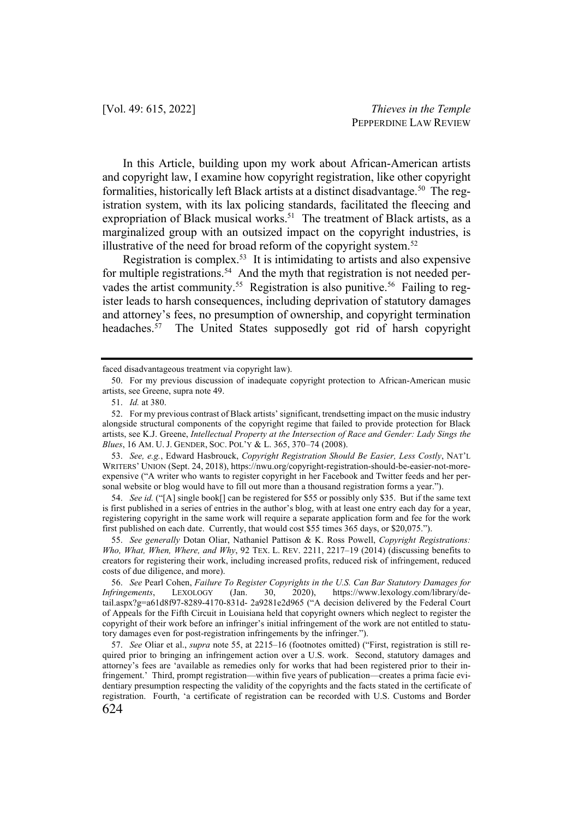In this Article, building upon my work about African-American artists and copyright law, I examine how copyright registration, like other copyright formalities, historically left Black artists at a distinct disadvantage.<sup>50</sup> The registration system, with its lax policing standards, facilitated the fleecing and expropriation of Black musical works.<sup>51</sup> The treatment of Black artists, as a marginalized group with an outsized impact on the copyright industries, is illustrative of the need for broad reform of the copyright system. $52$ 

Registration is complex.53 It is intimidating to artists and also expensive for multiple registrations.<sup>54</sup> And the myth that registration is not needed pervades the artist community.<sup>55</sup> Registration is also punitive.<sup>56</sup> Failing to register leads to harsh consequences, including deprivation of statutory damages and attorney's fees, no presumption of ownership, and copyright termination headaches.<sup>57</sup> The United States supposedly got rid of harsh copyright

54. *See id.* ("[A] single book[] can be registered for \$55 or possibly only \$35. But if the same text is first published in a series of entries in the author's blog, with at least one entry each day for a year, registering copyright in the same work will require a separate application form and fee for the work first published on each date. Currently, that would cost \$55 times 365 days, or \$20,075.").

55. *See generally* Dotan Oliar, Nathaniel Pattison & K. Ross Powell, *Copyright Registrations: Who, What, When, Where, and Why*, 92 TEX. L. REV. 2211, 2217–19 (2014) (discussing benefits to creators for registering their work, including increased profits, reduced risk of infringement, reduced costs of due diligence, and more).

56. *See* Pearl Cohen, *Failure To Register Copyrights in the U.S. Can Bar Statutory Damages for Infringements*, LEXOLOGY (Jan. 30, 2020), https://www.lexology.com/library/detail.aspx?g=a61d8f97-8289-4170-831d- 2a9281e2d965 ("A decision delivered by the Federal Court of Appeals for the Fifth Circuit in Louisiana held that copyright owners which neglect to register the copyright of their work before an infringer's initial infringement of the work are not entitled to statutory damages even for post-registration infringements by the infringer.").

624 57. *See* Oliar et al., *supra* note 55, at 2215–16 (footnotes omitted) ("First, registration is still required prior to bringing an infringement action over a U.S. work. Second, statutory damages and attorney's fees are 'available as remedies only for works that had been registered prior to their infringement.' Third, prompt registration—within five years of publication—creates a prima facie evidentiary presumption respecting the validity of the copyrights and the facts stated in the certificate of registration. Fourth, 'a certificate of registration can be recorded with U.S. Customs and Border

faced disadvantageous treatment via copyright law).

<sup>50.</sup> For my previous discussion of inadequate copyright protection to African-American music artists, see Greene, supra note 49.

<sup>51.</sup> *Id.* at 380.

<sup>52.</sup> For my previous contrast of Black artists' significant, trendsetting impact on the music industry alongside structural components of the copyright regime that failed to provide protection for Black artists, see K.J. Greene, *Intellectual Property at the Intersection of Race and Gender: Lady Sings the Blues*, 16 AM. U. J. GENDER, SOC. POL'Y & L. 365, 370–74 (2008).

<sup>53.</sup> *See, e.g.*, Edward Hasbrouck, *Copyright Registration Should Be Easier, Less Costly*, NAT'L WRITERS' UNION (Sept. 24, 2018), https://nwu.org/copyright-registration-should-be-easier-not-moreexpensive ("A writer who wants to register copyright in her Facebook and Twitter feeds and her personal website or blog would have to fill out more than a thousand registration forms a year.").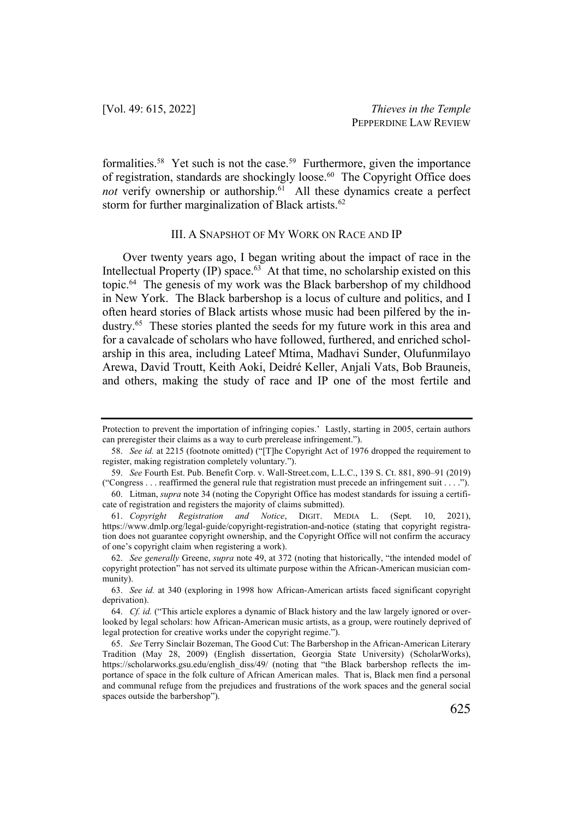formalities.<sup>58</sup> Yet such is not the case.<sup>59</sup> Furthermore, given the importance of registration, standards are shockingly loose.<sup>60</sup> The Copyright Office does not verify ownership or authorship.<sup>61</sup> All these dynamics create a perfect storm for further marginalization of Black artists.<sup>62</sup>

#### III. A SNAPSHOT OF MY WORK ON RACE AND IP

Over twenty years ago, I began writing about the impact of race in the Intellectual Property  $(IP)$  space.<sup>63</sup> At that time, no scholarship existed on this topic.64 The genesis of my work was the Black barbershop of my childhood in New York. The Black barbershop is a locus of culture and politics, and I often heard stories of Black artists whose music had been pilfered by the industry.65 These stories planted the seeds for my future work in this area and for a cavalcade of scholars who have followed, furthered, and enriched scholarship in this area, including Lateef Mtima, Madhavi Sunder, Olufunmilayo Arewa, David Troutt, Keith Aoki, Deidré Keller, Anjali Vats, Bob Brauneis, and others, making the study of race and IP one of the most fertile and

Protection to prevent the importation of infringing copies.' Lastly, starting in 2005, certain authors can preregister their claims as a way to curb prerelease infringement.").

<sup>58.</sup> *See id.* at 2215 (footnote omitted) ("[T]he Copyright Act of 1976 dropped the requirement to register, making registration completely voluntary.").

<sup>59.</sup> *See* Fourth Est. Pub. Benefit Corp. v. Wall-Street.com, L.L.C., 139 S. Ct. 881, 890–91 (2019) ("Congress . . . reaffirmed the general rule that registration must precede an infringement suit . . . .").

<sup>60.</sup> Litman, *supra* note 34 (noting the Copyright Office has modest standards for issuing a certificate of registration and registers the majority of claims submitted).

<sup>61.</sup> *Copyright Registration and Notice*, DIGIT. MEDIA L. (Sept. 10, 2021), https://www.dmlp.org/legal-guide/copyright-registration-and-notice (stating that copyright registration does not guarantee copyright ownership, and the Copyright Office will not confirm the accuracy of one's copyright claim when registering a work).

<sup>62.</sup> *See generally* Greene, *supra* note 49, at 372 (noting that historically, "the intended model of copyright protection" has not served its ultimate purpose within the African-American musician community).

<sup>63.</sup> *See id.* at 340 (exploring in 1998 how African-American artists faced significant copyright deprivation).

<sup>64.</sup> *Cf. id.* ("This article explores a dynamic of Black history and the law largely ignored or overlooked by legal scholars: how African-American music artists, as a group, were routinely deprived of legal protection for creative works under the copyright regime.").

<sup>65.</sup> *See* Terry Sinclair Bozeman, The Good Cut: The Barbershop in the African-American Literary Tradition (May 28, 2009) (English dissertation, Georgia State University) (ScholarWorks), https://scholarworks.gsu.edu/english\_diss/49/ (noting that "the Black barbershop reflects the importance of space in the folk culture of African American males. That is, Black men find a personal and communal refuge from the prejudices and frustrations of the work spaces and the general social spaces outside the barbershop").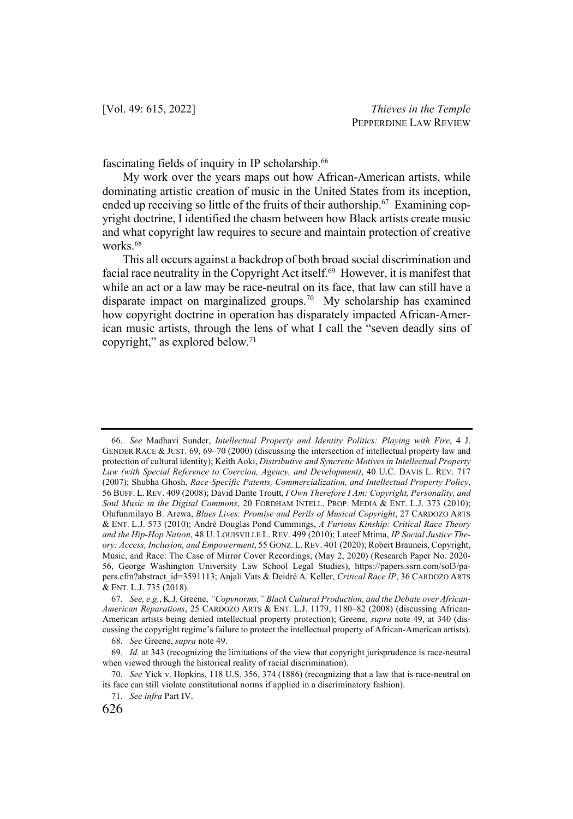fascinating fields of inquiry in IP scholarship.<sup>66</sup>

My work over the years maps out how African-American artists, while dominating artistic creation of music in the United States from its inception, ended up receiving so little of the fruits of their authorship.<sup>67</sup> Examining copyright doctrine, I identified the chasm between how Black artists create music and what copyright law requires to secure and maintain protection of creative works. 68

This all occurs against a backdrop of both broad social discrimination and facial race neutrality in the Copyright Act itself.<sup>69</sup> However, it is manifest that while an act or a law may be race-neutral on its face, that law can still have a disparate impact on marginalized groups. <sup>70</sup> My scholarship has examined how copyright doctrine in operation has disparately impacted African-American music artists, through the lens of what I call the "seven deadly sins of copyright," as explored below. $71$ 

<sup>66.</sup> *See* Madhavi Sunder, *Intellectual Property and Identity Politics: Playing with Fire*, 4 J. GENDER RACE & JUST. 69, 69–70 (2000) (discussing the intersection of intellectual property law and protection of cultural identity); Keith Aoki, *Distributive and Syncretic Motives in Intellectual Property Law (with Special Reference to Coercion, Agency, and Development)*, 40 U.C. DAVIS L. REV. 717 (2007); Shubha Ghosh, *Race-Specific Patents, Commercialization, and Intellectual Property Policy*, 56 BUFF. L. REV. 409 (2008); David Dante Troutt, *I Own Therefore I Am: Copyright, Personality, and Soul Music in the Digital Commons*, 20 FORDHAM INTELL. PROP. MEDIA & ENT. L.J. 373 (2010); Olufunmilayo B. Arewa, *Blues Lives: Promise and Perils of Musical Copyright*, 27 CARDOZO ARTS & ENT. L.J. 573 (2010); André Douglas Pond Cummings, *A Furious Kinship: Critical Race Theory and the Hip-Hop Nation*, 48 U. LOUISVILLE L. REV. 499 (2010); Lateef Mtima, *IP Social Justice Theory: Access, Inclusion, and Empowerment*, 55 GONZ. L. REV. 401 (2020); Robert Brauneis, Copyright, Music, and Race: The Case of Mirror Cover Recordings, (May 2, 2020) (Research Paper No. 2020- 56, George Washington University Law School Legal Studies), https://papers.ssrn.com/sol3/papers.cfm?abstract\_id=3591113; Anjali Vats & Deidré A. Keller, *Critical Race IP*, 36 CARDOZO ARTS & ENT. L.J. 735 (2018).

<sup>67.</sup> *See, e.g.*, K.J. Greene, *"Copynorms," Black Cultural Production, and the Debate over African-American Reparations*, 25 CARDOZO ARTS & ENT. L.J. 1179, 1180–82 (2008) (discussing African-American artists being denied intellectual property protection); Greene, *supra* note 49, at 340 (discussing the copyright regime's failure to protect the intellectual property of African-American artists).

<sup>68.</sup> *See* Greene, *supra* note 49.

<sup>69.</sup> *Id.* at 343 (recognizing the limitations of the view that copyright jurisprudence is race-neutral when viewed through the historical reality of racial discrimination).

<sup>70.</sup> *See* Yick v. Hopkins, 118 U.S. 356, 374 (1886) (recognizing that a law that is race-neutral on its face can still violate constitutional norms if applied in a discriminatory fashion).

<sup>71.</sup> *See infra* Part IV.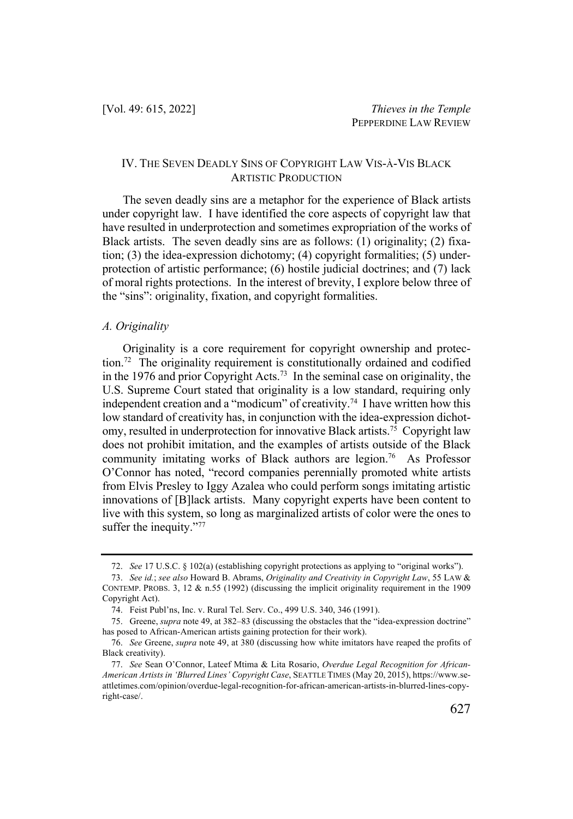# IV. THE SEVEN DEADLY SINS OF COPYRIGHT LAW VIS-À-VIS BLACK ARTISTIC PRODUCTION

The seven deadly sins are a metaphor for the experience of Black artists under copyright law. I have identified the core aspects of copyright law that have resulted in underprotection and sometimes expropriation of the works of Black artists. The seven deadly sins are as follows: (1) originality; (2) fixation; (3) the idea-expression dichotomy; (4) copyright formalities; (5) underprotection of artistic performance; (6) hostile judicial doctrines; and (7) lack of moral rights protections. In the interest of brevity, I explore below three of the "sins": originality, fixation, and copyright formalities.

#### *A. Originality*

Originality is a core requirement for copyright ownership and protection.72 The originality requirement is constitutionally ordained and codified in the 1976 and prior Copyright Acts.73 In the seminal case on originality, the U.S. Supreme Court stated that originality is a low standard, requiring only independent creation and a "modicum" of creativity.<sup>74</sup> I have written how this low standard of creativity has, in conjunction with the idea-expression dichotomy, resulted in underprotection for innovative Black artists.<sup>75</sup> Copyright law does not prohibit imitation, and the examples of artists outside of the Black community imitating works of Black authors are legion.<sup>76</sup> As Professor O'Connor has noted, "record companies perennially promoted white artists from Elvis Presley to Iggy Azalea who could perform songs imitating artistic innovations of [B]lack artists. Many copyright experts have been content to live with this system, so long as marginalized artists of color were the ones to suffer the inequity."77

<sup>72.</sup> *See* 17 U.S.C. § 102(a) (establishing copyright protections as applying to "original works").

<sup>73.</sup> *See id.*; *see also* Howard B. Abrams, *Originality and Creativity in Copyright Law*, 55 LAW & CONTEMP. PROBS. 3, 12  $\&$  n.55 (1992) (discussing the implicit originality requirement in the 1909 Copyright Act).

<sup>74.</sup> Feist Publ'ns, Inc. v. Rural Tel. Serv. Co., 499 U.S. 340, 346 (1991).

<sup>75.</sup> Greene, *supra* note 49, at 382–83 (discussing the obstacles that the "idea-expression doctrine" has posed to African-American artists gaining protection for their work).

<sup>76.</sup> *See* Greene, *supra* note 49, at 380 (discussing how white imitators have reaped the profits of Black creativity).

<sup>77.</sup> *See* Sean O'Connor, Lateef Mtima & Lita Rosario, *Overdue Legal Recognition for African-American Artists in 'Blurred Lines' Copyright Case*, SEATTLE TIMES (May 20, 2015), https://www.seattletimes.com/opinion/overdue-legal-recognition-for-african-american-artists-in-blurred-lines-copyright-case/.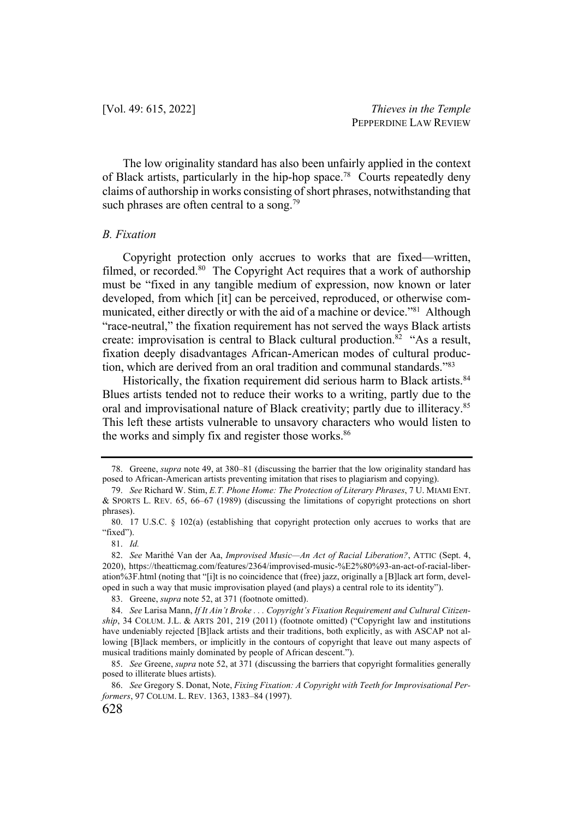The low originality standard has also been unfairly applied in the context of Black artists, particularly in the hip-hop space.<sup>78</sup> Courts repeatedly deny claims of authorship in works consisting of short phrases, notwithstanding that such phrases are often central to a song.<sup>79</sup>

#### *B. Fixation*

Copyright protection only accrues to works that are fixed—written, filmed, or recorded.<sup>80</sup> The Copyright Act requires that a work of authorship must be "fixed in any tangible medium of expression, now known or later developed, from which [it] can be perceived, reproduced, or otherwise communicated, either directly or with the aid of a machine or device."<sup>81</sup> Although "race-neutral," the fixation requirement has not served the ways Black artists create: improvisation is central to Black cultural production.<sup>82</sup> "As a result, fixation deeply disadvantages African-American modes of cultural production, which are derived from an oral tradition and communal standards."83

Historically, the fixation requirement did serious harm to Black artists.<sup>84</sup> Blues artists tended not to reduce their works to a writing, partly due to the oral and improvisational nature of Black creativity; partly due to illiteracy.<sup>85</sup> This left these artists vulnerable to unsavory characters who would listen to the works and simply fix and register those works.<sup>86</sup>

<sup>78.</sup> Greene, *supra* note 49, at 380–81 (discussing the barrier that the low originality standard has posed to African-American artists preventing imitation that rises to plagiarism and copying).

<sup>79.</sup> *See* Richard W. Stim, *E.T. Phone Home: The Protection of Literary Phrases*, 7 U. MIAMI ENT. & SPORTS L. REV. 65, 66–67 (1989) (discussing the limitations of copyright protections on short phrases).

<sup>80.</sup> 17 U.S.C. § 102(a) (establishing that copyright protection only accrues to works that are "fixed").

<sup>81.</sup> *Id.*

<sup>82.</sup> *See* Marithé Van der Aa, *Improvised Music—An Act of Racial Liberation?*, ATTIC (Sept. 4, 2020), https://theatticmag.com/features/2364/improvised-music-%E2%80%93-an-act-of-racial-liberation%3F.html (noting that "[i]t is no coincidence that (free) jazz, originally a [B]lack art form, developed in such a way that music improvisation played (and plays) a central role to its identity").

<sup>83.</sup> Greene, *supra* note 52, at 371 (footnote omitted).

<sup>84.</sup> *See* Larisa Mann, *If It Ain't Broke . . . Copyright's Fixation Requirement and Cultural Citizenship*, 34 COLUM. J.L. & ARTS 201, 219 (2011) (footnote omitted) ("Copyright law and institutions have undeniably rejected [B]lack artists and their traditions, both explicitly, as with ASCAP not allowing [B]lack members, or implicitly in the contours of copyright that leave out many aspects of musical traditions mainly dominated by people of African descent.").

<sup>85.</sup> *See* Greene, *supra* note 52, at 371 (discussing the barriers that copyright formalities generally posed to illiterate blues artists).

<sup>86.</sup> *See* Gregory S. Donat, Note, *Fixing Fixation: A Copyright with Teeth for Improvisational Performers*, 97 COLUM. L. REV. 1363, 1383–84 (1997).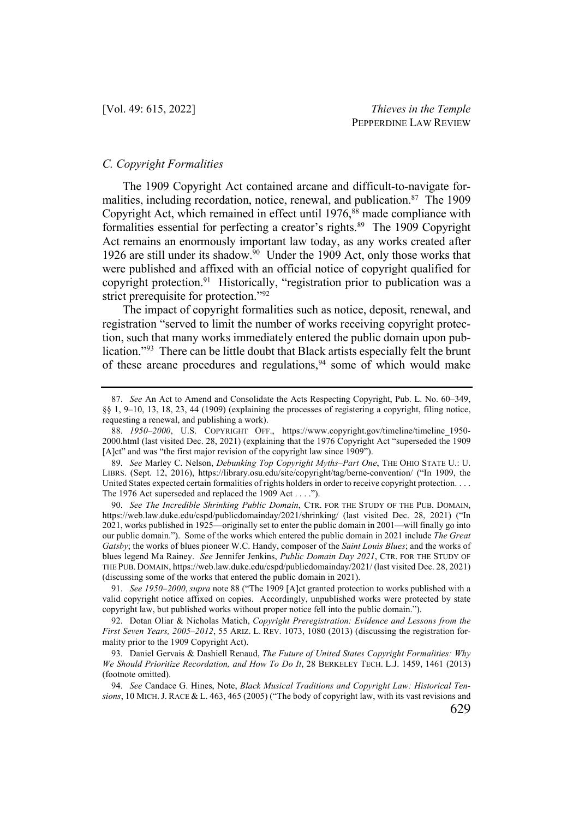#### *C. Copyright Formalities*

The 1909 Copyright Act contained arcane and difficult-to-navigate formalities, including recordation, notice, renewal, and publication.<sup>87</sup> The 1909 Copyright Act, which remained in effect until 1976,<sup>88</sup> made compliance with formalities essential for perfecting a creator's rights.<sup>89</sup> The 1909 Copyright Act remains an enormously important law today, as any works created after 1926 are still under its shadow.<sup>90</sup> Under the 1909 Act, only those works that were published and affixed with an official notice of copyright qualified for copyright protection.<sup>91</sup> Historically, "registration prior to publication was a strict prerequisite for protection."<sup>92</sup>

The impact of copyright formalities such as notice, deposit, renewal, and registration "served to limit the number of works receiving copyright protection, such that many works immediately entered the public domain upon publication."93 There can be little doubt that Black artists especially felt the brunt of these arcane procedures and regulations,<sup>94</sup> some of which would make

90. *See The Incredible Shrinking Public Domain*, CTR. FOR THE STUDY OF THE PUB. DOMAIN, https://web.law.duke.edu/cspd/publicdomainday/2021/shrinking/ (last visited Dec. 28, 2021) ("In 2021, works published in 1925—originally set to enter the public domain in 2001—will finally go into our public domain."). Some of the works which entered the public domain in 2021 include *The Great Gatsby*; the works of blues pioneer W.C. Handy, composer of the *Saint Louis Blues*; and the works of blues legend Ma Rainey. *See* Jennifer Jenkins, *Public Domain Day 2021*, CTR. FOR THE STUDY OF THE PUB. DOMAIN, https://web.law.duke.edu/cspd/publicdomainday/2021/ (last visited Dec. 28, 2021) (discussing some of the works that entered the public domain in 2021).

91. *See 1950–2000*, *supra* note 88 ("The 1909 [A]ct granted protection to works published with a valid copyright notice affixed on copies. Accordingly, unpublished works were protected by state copyright law, but published works without proper notice fell into the public domain.").

92. Dotan Oliar & Nicholas Matich, *Copyright Preregistration: Evidence and Lessons from the First Seven Years, 2005–2012*, 55 ARIZ. L. REV. 1073, 1080 (2013) (discussing the registration formality prior to the 1909 Copyright Act).

93. Daniel Gervais & Dashiell Renaud, *The Future of United States Copyright Formalities: Why We Should Prioritize Recordation, and How To Do It*, 28 BERKELEY TECH. L.J. 1459, 1461 (2013) (footnote omitted).

94. *See* Candace G. Hines, Note, *Black Musical Traditions and Copyright Law: Historical Tensions*, 10 MICH.J. RACE & L. 463, 465 (2005) ("The body of copyright law, with its vast revisions and

<sup>87.</sup> *See* An Act to Amend and Consolidate the Acts Respecting Copyright, Pub. L. No. 60–349, §§ 1, 9–10, 13, 18, 23, 44 (1909) (explaining the processes of registering a copyright, filing notice, requesting a renewal, and publishing a work).

<sup>88.</sup> *1950–2000*, U.S. COPYRIGHT OFF., https://www.copyright.gov/timeline/timeline\_1950- 2000.html (last visited Dec. 28, 2021) (explaining that the 1976 Copyright Act "superseded the 1909 [A]ct" and was "the first major revision of the copyright law since 1909").

<sup>89.</sup> *See* Marley C. Nelson, *Debunking Top Copyright Myths–Part One*, THE OHIO STATE U.: U. LIBRS. (Sept. 12, 2016), https://library.osu.edu/site/copyright/tag/berne-convention/ ("In 1909, the United States expected certain formalities of rights holders in order to receive copyright protection. . . . The 1976 Act superseded and replaced the 1909 Act . . . .").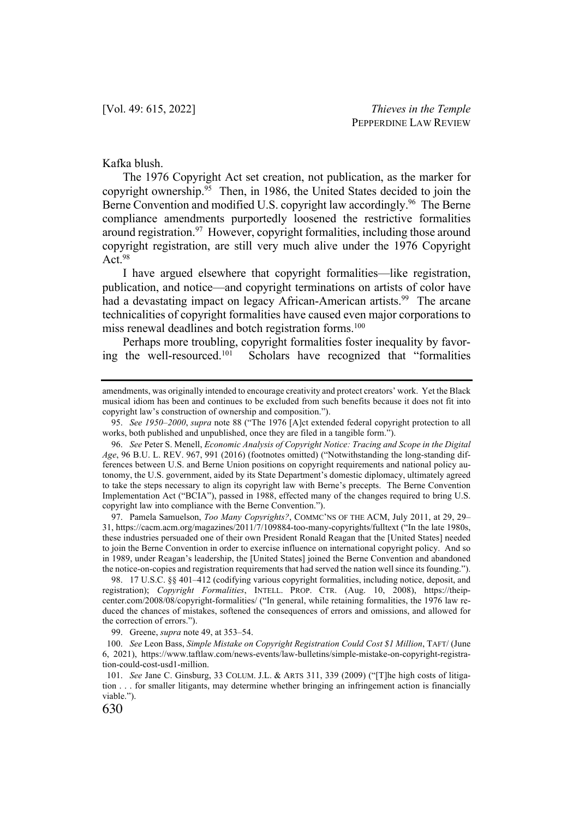#### Kafka blush.

The 1976 Copyright Act set creation, not publication, as the marker for copyright ownership.<sup>95</sup> Then, in 1986, the United States decided to join the Berne Convention and modified U.S. copyright law accordingly.<sup>96</sup> The Berne compliance amendments purportedly loosened the restrictive formalities around registration.<sup>97</sup> However, copyright formalities, including those around copyright registration, are still very much alive under the 1976 Copyright Act. 98

I have argued elsewhere that copyright formalities—like registration, publication, and notice—and copyright terminations on artists of color have had a devastating impact on legacy African-American artists.<sup>99</sup> The arcane technicalities of copyright formalities have caused even major corporations to miss renewal deadlines and botch registration forms.<sup>100</sup>

Perhaps more troubling, copyright formalities foster inequality by favoring the well-resourced.101 Scholars have recognized that "formalities

97. Pamela Samuelson, *Too Many Copyrights?*, COMMC'NS OF THE ACM, July 2011, at 29, 29– 31, https://cacm.acm.org/magazines/2011/7/109884-too-many-copyrights/fulltext ("In the late 1980s, these industries persuaded one of their own President Ronald Reagan that the [United States] needed to join the Berne Convention in order to exercise influence on international copyright policy. And so in 1989, under Reagan's leadership, the [United States] joined the Berne Convention and abandoned the notice-on-copies and registration requirements that had served the nation well since its founding.").

98. 17 U.S.C. §§ 401–412 (codifying various copyright formalities, including notice, deposit, and registration); *Copyright Formalities*, INTELL. PROP. CTR. (Aug. 10, 2008), https://theipcenter.com/2008/08/copyright-formalities/ ("In general, while retaining formalities, the 1976 law reduced the chances of mistakes, softened the consequences of errors and omissions, and allowed for the correction of errors.").

99. Greene, *supra* note 49, at 353–54.

amendments, was originally intended to encourage creativity and protect creators' work. Yet the Black musical idiom has been and continues to be excluded from such benefits because it does not fit into copyright law's construction of ownership and composition.").

<sup>95.</sup> *See 1950–2000*, *supra* note 88 ("The 1976 [A]ct extended federal copyright protection to all works, both published and unpublished, once they are filed in a tangible form.").

<sup>96.</sup> *See* Peter S. Menell, *Economic Analysis of Copyright Notice: Tracing and Scope in the Digital Age*, 96 B.U. L. REV. 967, 991 (2016) (footnotes omitted) ("Notwithstanding the long-standing differences between U.S. and Berne Union positions on copyright requirements and national policy autonomy, the U.S. government, aided by its State Department's domestic diplomacy, ultimately agreed to take the steps necessary to align its copyright law with Berne's precepts. The Berne Convention Implementation Act ("BCIA"), passed in 1988, effected many of the changes required to bring U.S. copyright law into compliance with the Berne Convention.").

<sup>100.</sup> *See* Leon Bass, *Simple Mistake on Copyright Registration Could Cost \$1 Million*, TAFT/ (June 6, 2021), https://www.taftlaw.com/news-events/law-bulletins/simple-mistake-on-copyright-registration-could-cost-usd1-million.

<sup>101.</sup> *See* Jane C. Ginsburg, 33 COLUM. J.L. & ARTS 311, 339 (2009) ("[T]he high costs of litigation . . . for smaller litigants, may determine whether bringing an infringement action is financially viable.").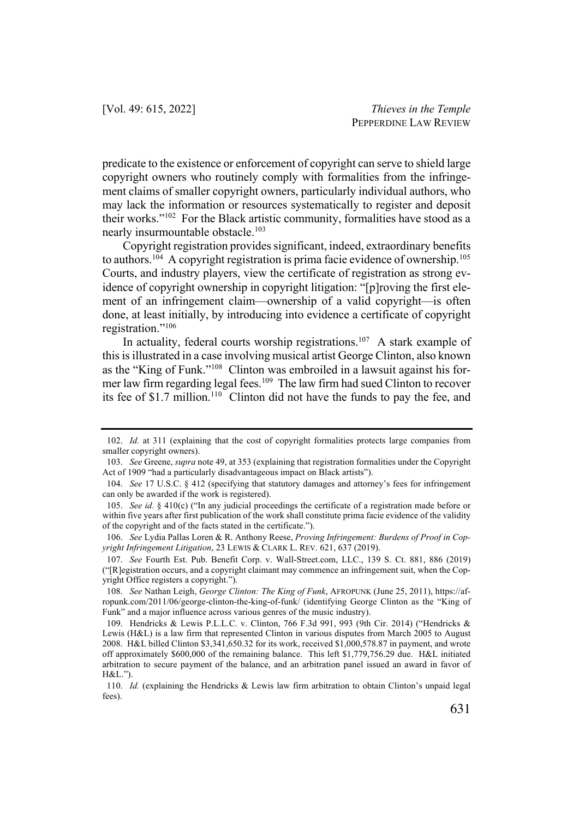predicate to the existence or enforcement of copyright can serve to shield large copyright owners who routinely comply with formalities from the infringement claims of smaller copyright owners, particularly individual authors, who may lack the information or resources systematically to register and deposit their works."102 For the Black artistic community, formalities have stood as a nearly insurmountable obstacle.<sup>103</sup>

Copyright registration provides significant, indeed, extraordinary benefits to authors.<sup>104</sup> A copyright registration is prima facie evidence of ownership.<sup>105</sup> Courts, and industry players, view the certificate of registration as strong evidence of copyright ownership in copyright litigation: "[p]roving the first element of an infringement claim—ownership of a valid copyright—is often done, at least initially, by introducing into evidence a certificate of copyright registration."106

In actuality, federal courts worship registrations.<sup>107</sup> A stark example of this is illustrated in a case involving musical artist George Clinton, also known as the "King of Funk."108 Clinton was embroiled in a lawsuit against his former law firm regarding legal fees.<sup>109</sup> The law firm had sued Clinton to recover its fee of \$1.7 million.<sup>110</sup> Clinton did not have the funds to pay the fee, and

<sup>102.</sup> *Id.* at 311 (explaining that the cost of copyright formalities protects large companies from smaller copyright owners).

<sup>103.</sup> *See* Greene, *supra* note 49, at 353 (explaining that registration formalities under the Copyright Act of 1909 "had a particularly disadvantageous impact on Black artists").

<sup>104.</sup> *See* 17 U.S.C. § 412 (specifying that statutory damages and attorney's fees for infringement can only be awarded if the work is registered).

<sup>105.</sup> *See id.* § 410(c) ("In any judicial proceedings the certificate of a registration made before or within five years after first publication of the work shall constitute prima facie evidence of the validity of the copyright and of the facts stated in the certificate.").

<sup>106.</sup> *See* Lydia Pallas Loren & R. Anthony Reese, *Proving Infringement: Burdens of Proof in Copyright Infringement Litigation*, 23 LEWIS & CLARK L. REV. 621, 637 (2019).

<sup>107.</sup> *See* Fourth Est. Pub. Benefit Corp. v. Wall-Street.com, LLC., 139 S. Ct. 881, 886 (2019) ("[R]egistration occurs, and a copyright claimant may commence an infringement suit, when the Copyright Office registers a copyright.").

<sup>108.</sup> *See* Nathan Leigh, *George Clinton: The King of Funk*, AFROPUNK (June 25, 2011), https://afropunk.com/2011/06/george-clinton-the-king-of-funk/ (identifying George Clinton as the "King of Funk" and a major influence across various genres of the music industry).

<sup>109.</sup> Hendricks & Lewis P.L.L.C. v. Clinton, 766 F.3d 991, 993 (9th Cir. 2014) ("Hendricks & Lewis (H&L) is a law firm that represented Clinton in various disputes from March 2005 to August 2008. H&L billed Clinton \$3,341,650.32 for its work, received \$1,000,578.87 in payment, and wrote off approximately \$600,000 of the remaining balance. This left \$1,779,756.29 due. H&L initiated arbitration to secure payment of the balance, and an arbitration panel issued an award in favor of H&L.").

<sup>110.</sup> *Id.* (explaining the Hendricks & Lewis law firm arbitration to obtain Clinton's unpaid legal fees).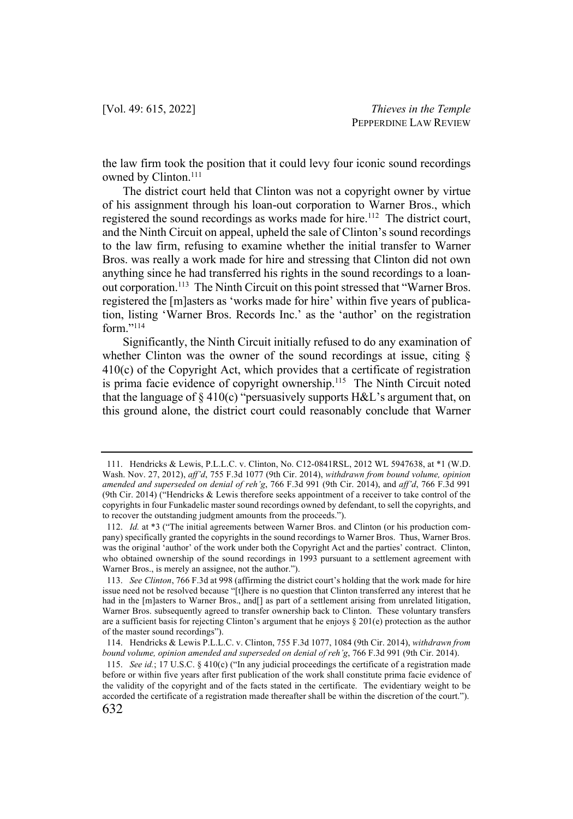the law firm took the position that it could levy four iconic sound recordings owned by Clinton.<sup>111</sup>

The district court held that Clinton was not a copyright owner by virtue of his assignment through his loan-out corporation to Warner Bros., which registered the sound recordings as works made for hire.<sup>112</sup> The district court, and the Ninth Circuit on appeal, upheld the sale of Clinton's sound recordings to the law firm, refusing to examine whether the initial transfer to Warner Bros. was really a work made for hire and stressing that Clinton did not own anything since he had transferred his rights in the sound recordings to a loanout corporation.<sup>113</sup> The Ninth Circuit on this point stressed that "Warner Bros. registered the [m]asters as 'works made for hire' within five years of publication, listing 'Warner Bros. Records Inc.' as the 'author' on the registration form."114

Significantly, the Ninth Circuit initially refused to do any examination of whether Clinton was the owner of the sound recordings at issue, citing § 410(c) of the Copyright Act, which provides that a certificate of registration is prima facie evidence of copyright ownership.<sup>115</sup> The Ninth Circuit noted that the language of  $\S 410(c)$  "persuasively supports H&L's argument that, on this ground alone, the district court could reasonably conclude that Warner

<sup>111.</sup> Hendricks & Lewis, P.L.L.C. v. Clinton, No. C12-0841RSL, 2012 WL 5947638, at \*1 (W.D. Wash. Nov. 27, 2012), *aff'd*, 755 F.3d 1077 (9th Cir. 2014), *withdrawn from bound volume, opinion amended and superseded on denial of reh'g*, 766 F.3d 991 (9th Cir. 2014), and *aff'd*, 766 F.3d 991 (9th Cir. 2014) ("Hendricks & Lewis therefore seeks appointment of a receiver to take control of the copyrights in four Funkadelic master sound recordings owned by defendant, to sell the copyrights, and to recover the outstanding judgment amounts from the proceeds.").

<sup>112.</sup> *Id.* at \*3 ("The initial agreements between Warner Bros. and Clinton (or his production company) specifically granted the copyrights in the sound recordings to Warner Bros. Thus, Warner Bros. was the original 'author' of the work under both the Copyright Act and the parties' contract. Clinton, who obtained ownership of the sound recordings in 1993 pursuant to a settlement agreement with Warner Bros., is merely an assignee, not the author.").

<sup>113.</sup> *See Clinton*, 766 F.3d at 998 (affirming the district court's holding that the work made for hire issue need not be resolved because "[t]here is no question that Clinton transferred any interest that he had in the [m]asters to Warner Bros., and[] as part of a settlement arising from unrelated litigation, Warner Bros. subsequently agreed to transfer ownership back to Clinton. These voluntary transfers are a sufficient basis for rejecting Clinton's argument that he enjoys § 201(e) protection as the author of the master sound recordings").

<sup>114.</sup> Hendricks & Lewis P.L.L.C. v. Clinton, 755 F.3d 1077, 1084 (9th Cir. 2014), *withdrawn from bound volume, opinion amended and superseded on denial of reh'g*, 766 F.3d 991 (9th Cir. 2014).

<sup>115.</sup> *See id.*; 17 U.S.C. § 410(c) ("In any judicial proceedings the certificate of a registration made before or within five years after first publication of the work shall constitute prima facie evidence of the validity of the copyright and of the facts stated in the certificate. The evidentiary weight to be accorded the certificate of a registration made thereafter shall be within the discretion of the court.").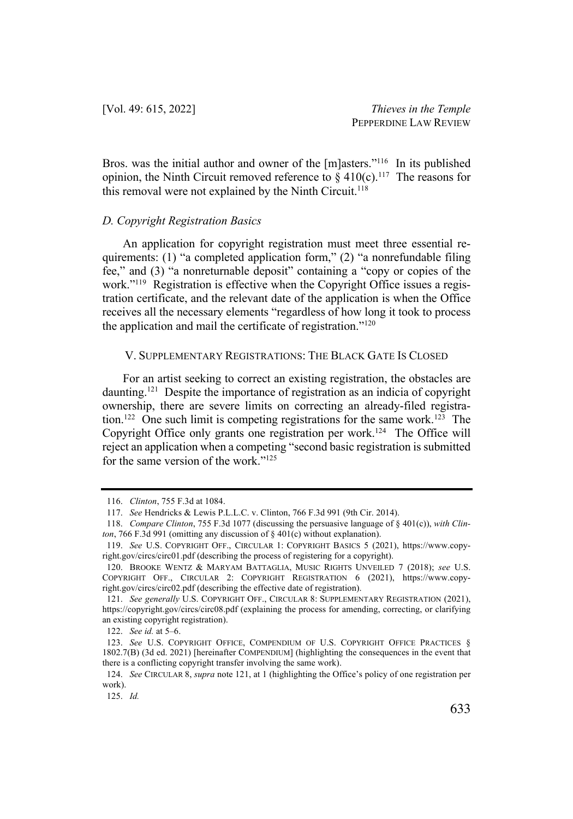Bros. was the initial author and owner of the [m]asters."<sup>116</sup> In its published opinion, the Ninth Circuit removed reference to  $\frac{10}{6}$  410(c).<sup>117</sup> The reasons for this removal were not explained by the Ninth Circuit.<sup>118</sup>

#### *D. Copyright Registration Basics*

An application for copyright registration must meet three essential requirements: (1) "a completed application form," (2) "a nonrefundable filing fee," and (3) "a nonreturnable deposit" containing a "copy or copies of the work."119 Registration is effective when the Copyright Office issues a registration certificate, and the relevant date of the application is when the Office receives all the necessary elements "regardless of how long it took to process the application and mail the certificate of registration."120

#### V. SUPPLEMENTARY REGISTRATIONS: THE BLACK GATE IS CLOSED

For an artist seeking to correct an existing registration, the obstacles are daunting.121 Despite the importance of registration as an indicia of copyright ownership, there are severe limits on correcting an already-filed registration.<sup>122</sup> One such limit is competing registrations for the same work.<sup>123</sup> The Copyright Office only grants one registration per work.<sup>124</sup> The Office will reject an application when a competing "second basic registration is submitted for the same version of the work."<sup>125</sup>

<sup>116.</sup> *Clinton*, 755 F.3d at 1084.

<sup>117.</sup> *See* Hendricks & Lewis P.L.L.C. v. Clinton, 766 F.3d 991 (9th Cir. 2014).

<sup>118.</sup> *Compare Clinton*, 755 F.3d 1077 (discussing the persuasive language of § 401(c)), *with Clinton*, 766 F.3d 991 (omitting any discussion of § 401(c) without explanation).

<sup>119.</sup> *See* U.S. COPYRIGHT OFF., CIRCULAR 1: COPYRIGHT BASICS 5 (2021), https://www.copyright.gov/circs/circ01.pdf (describing the process of registering for a copyright).

<sup>120.</sup> BROOKE WENTZ & MARYAM BATTAGLIA, MUSIC RIGHTS UNVEILED 7 (2018); *see* U.S. COPYRIGHT OFF., CIRCULAR 2: COPYRIGHT REGISTRATION 6 (2021), https://www.copyright.gov/circs/circ02.pdf (describing the effective date of registration).

<sup>121.</sup> *See generally* U.S. COPYRIGHT OFF., CIRCULAR 8: SUPPLEMENTARY REGISTRATION (2021), https://copyright.gov/circs/circ08.pdf (explaining the process for amending, correcting, or clarifying an existing copyright registration).

<sup>122.</sup> *See id.* at 5–6.

<sup>123.</sup> *See* U.S. COPYRIGHT OFFICE, COMPENDIUM OF U.S. COPYRIGHT OFFICE PRACTICES § 1802.7(B) (3d ed. 2021) [hereinafter COMPENDIUM] (highlighting the consequences in the event that there is a conflicting copyright transfer involving the same work).

<sup>124.</sup> *See* CIRCULAR 8, *supra* note 121, at 1 (highlighting the Office's policy of one registration per work).

<sup>125.</sup> *Id.*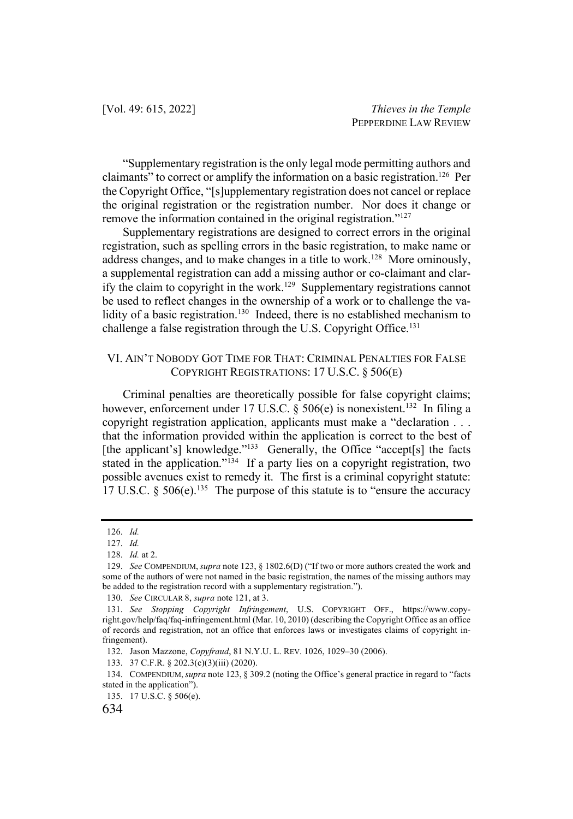"Supplementary registration is the only legal mode permitting authors and claimants" to correct or amplify the information on a basic registration.<sup>126</sup> Per the Copyright Office, "[s]upplementary registration does not cancel or replace the original registration or the registration number. Nor does it change or remove the information contained in the original registration."127

Supplementary registrations are designed to correct errors in the original registration, such as spelling errors in the basic registration, to make name or address changes, and to make changes in a title to work.<sup>128</sup> More ominously, a supplemental registration can add a missing author or co-claimant and clarify the claim to copyright in the work.<sup>129</sup> Supplementary registrations cannot be used to reflect changes in the ownership of a work or to challenge the validity of a basic registration.<sup>130</sup> Indeed, there is no established mechanism to challenge a false registration through the U.S. Copyright Office.<sup>131</sup>

## VI. AIN'T NOBODY GOT TIME FOR THAT: CRIMINAL PENALTIES FOR FALSE COPYRIGHT REGISTRATIONS: 17 U.S.C. § 506(E)

Criminal penalties are theoretically possible for false copyright claims; however, enforcement under 17 U.S.C. § 506(e) is nonexistent.<sup>132</sup> In filing a copyright registration application, applicants must make a "declaration . . . that the information provided within the application is correct to the best of [the applicant's] knowledge."<sup>133</sup> Generally, the Office "accept<sup>[s]</sup> the facts stated in the application."<sup>134</sup> If a party lies on a copyright registration, two possible avenues exist to remedy it. The first is a criminal copyright statute: 17 U.S.C.  $\S$  506(e).<sup>135</sup> The purpose of this statute is to "ensure the accuracy"

<sup>126.</sup> *Id.* 

<sup>127.</sup> *Id.*

<sup>128.</sup> *Id.* at 2.

<sup>129.</sup> *See* COMPENDIUM,*supra* note 123, § 1802.6(D) ("If two or more authors created the work and some of the authors of were not named in the basic registration, the names of the missing authors may be added to the registration record with a supplementary registration.").

<sup>130.</sup> *See* CIRCULAR 8, *supra* note 121, at 3.

<sup>131.</sup> *See Stopping Copyright Infringement*, U.S. COPYRIGHT OFF., https://www.copyright.gov/help/faq/faq-infringement.html (Mar. 10, 2010) (describing the Copyright Office as an office of records and registration, not an office that enforces laws or investigates claims of copyright infringement).

<sup>132.</sup> Jason Mazzone, *Copyfraud*, 81 N.Y.U. L. REV. 1026, 1029–30 (2006).

<sup>133.</sup> 37 C.F.R. § 202.3(c)(3)(iii) (2020).

<sup>134.</sup> COMPENDIUM,*supra* note 123, § 309.2 (noting the Office's general practice in regard to "facts stated in the application").

<sup>135.</sup> 17 U.S.C. § 506(e).

<sup>634</sup>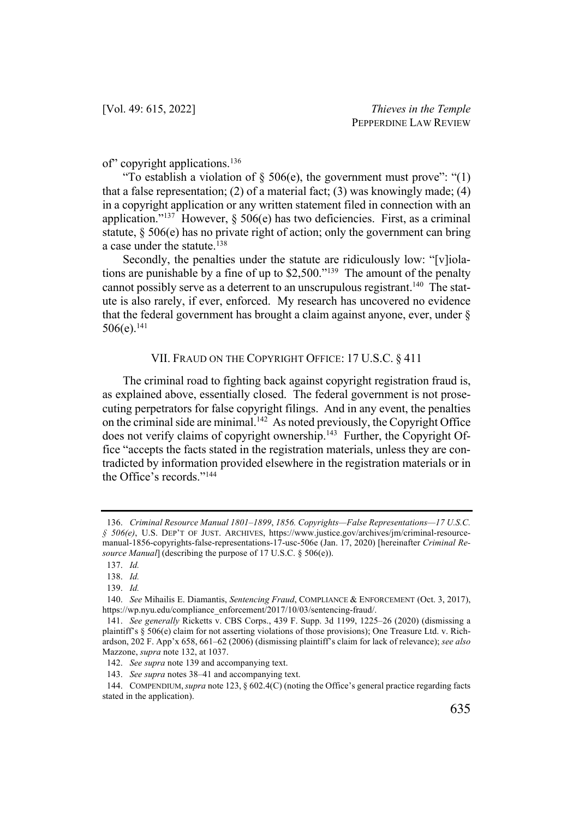of" copyright applications.136

"To establish a violation of  $\S$  506(e), the government must prove": "(1) that a false representation; (2) of a material fact; (3) was knowingly made; (4) in a copyright application or any written statement filed in connection with an application."<sup>137</sup> However,  $\S$  506(e) has two deficiencies. First, as a criminal statute, § 506(e) has no private right of action; only the government can bring a case under the statute.<sup>138</sup>

Secondly, the penalties under the statute are ridiculously low: "[v]iolations are punishable by a fine of up to  $$2,500."$ <sup>139</sup> The amount of the penalty cannot possibly serve as a deterrent to an unscrupulous registrant.<sup>140</sup> The statute is also rarely, if ever, enforced. My research has uncovered no evidence that the federal government has brought a claim against anyone, ever, under §  $506(e).$ <sup>141</sup>

#### VII. FRAUD ON THE COPYRIGHT OFFICE: 17 U.S.C. § 411

The criminal road to fighting back against copyright registration fraud is, as explained above, essentially closed. The federal government is not prosecuting perpetrators for false copyright filings. And in any event, the penalties on the criminal side are minimal.<sup>142</sup> As noted previously, the Copyright Office does not verify claims of copyright ownership.<sup>143</sup> Further, the Copyright Office "accepts the facts stated in the registration materials, unless they are contradicted by information provided elsewhere in the registration materials or in the Office's records."144

<sup>136.</sup> *Criminal Resource Manual 1801–1899*, *1856. Copyrights—False Representations—17 U.S.C. § 506(e)*, U.S. DEP'T OF JUST. ARCHIVES, https://www.justice.gov/archives/jm/criminal-resourcemanual-1856-copyrights-false-representations-17-usc-506e (Jan. 17, 2020) [hereinafter *Criminal Resource Manual*] (describing the purpose of 17 U.S.C. § 506(e)).

<sup>137.</sup> *Id.*

<sup>138.</sup> *Id.*

<sup>139.</sup> *Id.*

<sup>140.</sup> *See* Mihailis E. Diamantis, *Sentencing Fraud*, COMPLIANCE & ENFORCEMENT (Oct. 3, 2017), https://wp.nyu.edu/compliance\_enforcement/2017/10/03/sentencing-fraud/.

<sup>141.</sup> *See generally* Ricketts v. CBS Corps., 439 F. Supp. 3d 1199, 1225–26 (2020) (dismissing a plaintiff's § 506(e) claim for not asserting violations of those provisions); One Treasure Ltd. v. Richardson, 202 F. App'x 658, 661–62 (2006) (dismissing plaintiff's claim for lack of relevance); *see also*  Mazzone, *supra* note 132, at 1037.

<sup>142.</sup> *See supra* note 139 and accompanying text.

<sup>143.</sup> *See supra* notes 38–41 and accompanying text.

<sup>144.</sup> COMPENDIUM,*supra* note 123, § 602.4(C) (noting the Office's general practice regarding facts stated in the application).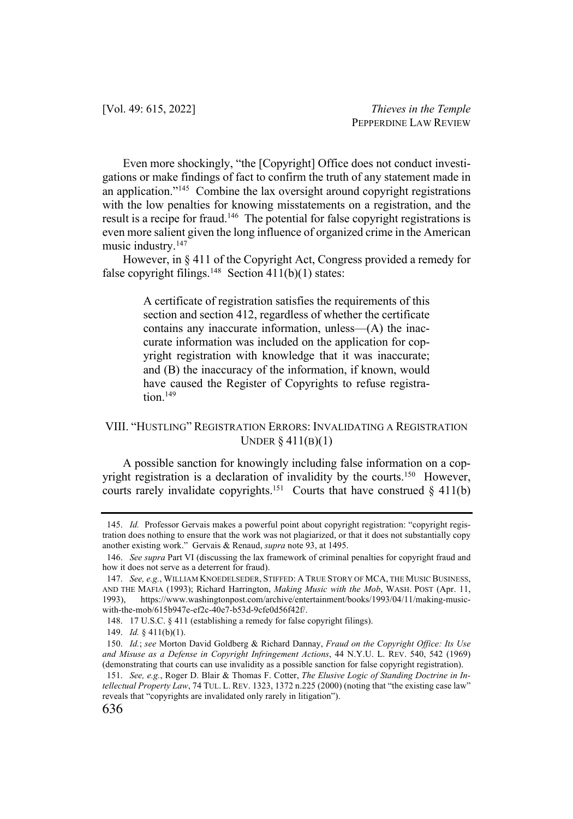Even more shockingly, "the [Copyright] Office does not conduct investigations or make findings of fact to confirm the truth of any statement made in an application."145 Combine the lax oversight around copyright registrations with the low penalties for knowing misstatements on a registration, and the result is a recipe for fraud.<sup>146</sup> The potential for false copyright registrations is even more salient given the long influence of organized crime in the American music industry.147

However, in § 411 of the Copyright Act, Congress provided a remedy for false copyright filings.<sup>148</sup> Section 411(b)(1) states:

> A certificate of registration satisfies the requirements of this section and section 412, regardless of whether the certificate contains any inaccurate information, unless—(A) the inaccurate information was included on the application for copyright registration with knowledge that it was inaccurate; and (B) the inaccuracy of the information, if known, would have caused the Register of Copyrights to refuse registra $tion.<sup>149</sup>$

# VIII. "HUSTLING" REGISTRATION ERRORS: INVALIDATING A REGISTRATION UNDER § 411(B)(1)

A possible sanction for knowingly including false information on a copyright registration is a declaration of invalidity by the courts.<sup>150</sup> However, courts rarely invalidate copyrights.<sup>151</sup> Courts that have construed  $§$  411(b)

<sup>145.</sup> *Id.* Professor Gervais makes a powerful point about copyright registration: "copyright registration does nothing to ensure that the work was not plagiarized, or that it does not substantially copy another existing work." Gervais & Renaud, *supra* note 93, at 1495.

<sup>146.</sup> *See supra* Part VI (discussing the lax framework of criminal penalties for copyright fraud and how it does not serve as a deterrent for fraud).

<sup>147.</sup> *See, e.g.*, WILLIAM KNOEDELSEDER, STIFFED: A TRUE STORY OF MCA, THE MUSIC BUSINESS, AND THE MAFIA (1993); Richard Harrington, *Making Music with the Mob*, WASH. POST (Apr. 11, 1993), https://www.washingtonpost.com/archive/entertainment/books/1993/04/11/making-musicwith-the-mob/615b947e-ef2c-40e7-b53d-9cfe0d56f42f/.

<sup>148.</sup> 17 U.S.C. § 411 (establishing a remedy for false copyright filings).

<sup>149.</sup> *Id.* § 411(b)(1).

<sup>150.</sup> *Id.*; *see* Morton David Goldberg & Richard Dannay, *Fraud on the Copyright Office: Its Use and Misuse as a Defense in Copyright Infringement Actions*, 44 N.Y.U. L. REV. 540, 542 (1969) (demonstrating that courts can use invalidity as a possible sanction for false copyright registration).

<sup>151.</sup> *See, e.g.*, Roger D. Blair & Thomas F. Cotter, *The Elusive Logic of Standing Doctrine in Intellectual Property Law*, 74 TUL. L. REV. 1323, 1372 n.225 (2000) (noting that "the existing case law" reveals that "copyrights are invalidated only rarely in litigation").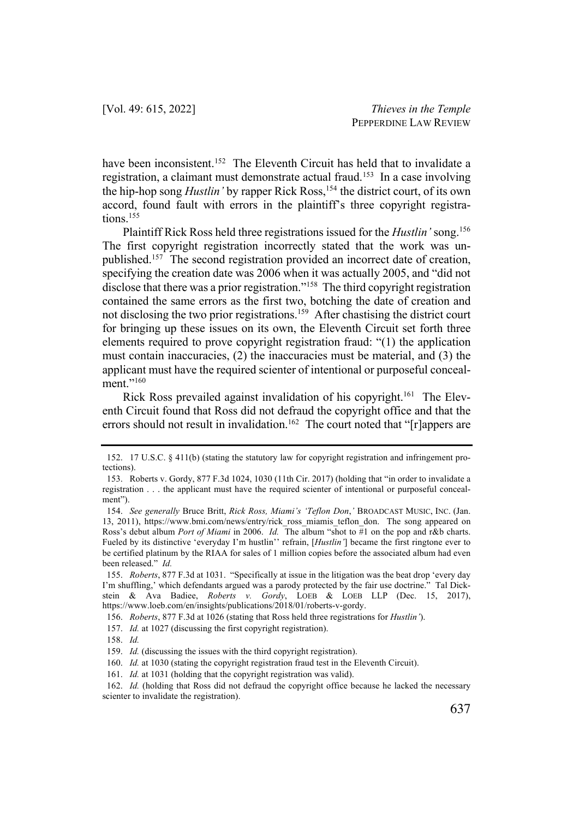have been inconsistent.<sup>152</sup> The Eleventh Circuit has held that to invalidate a registration, a claimant must demonstrate actual fraud.<sup>153</sup> In a case involving the hip-hop song *Hustlin'* by rapper Rick Ross, <sup>154</sup> the district court, of its own accord, found fault with errors in the plaintiff's three copyright registrations.<sup>155</sup>

Plaintiff Rick Ross held three registrations issued for the *Hustlin'* song.156 The first copyright registration incorrectly stated that the work was unpublished.157 The second registration provided an incorrect date of creation, specifying the creation date was 2006 when it was actually 2005, and "did not disclose that there was a prior registration."158 The third copyright registration contained the same errors as the first two, botching the date of creation and not disclosing the two prior registrations.<sup>159</sup> After chastising the district court for bringing up these issues on its own, the Eleventh Circuit set forth three elements required to prove copyright registration fraud: "(1) the application must contain inaccuracies, (2) the inaccuracies must be material, and (3) the applicant must have the required scienter of intentional or purposeful concealment."<sup>160</sup>

Rick Ross prevailed against invalidation of his copyright.<sup>161</sup> The Eleventh Circuit found that Ross did not defraud the copyright office and that the errors should not result in invalidation.<sup>162</sup> The court noted that " $[r]$ appers are

<sup>152.</sup> 17 U.S.C. § 411(b) (stating the statutory law for copyright registration and infringement protections).

<sup>153.</sup> Roberts v. Gordy, 877 F.3d 1024, 1030 (11th Cir. 2017) (holding that "in order to invalidate a registration . . . the applicant must have the required scienter of intentional or purposeful concealment").

<sup>154.</sup> *See generally* Bruce Britt, *Rick Ross, Miami's 'Teflon Don*,*'* BROADCAST MUSIC, INC. (Jan. 13, 2011), https://www.bmi.com/news/entry/rick ross miamis teflon don. The song appeared on Ross's debut album *Port of Miami* in 2006. *Id.* The album "shot to #1 on the pop and r&b charts. Fueled by its distinctive 'everyday I'm hustlin'' refrain, [*Hustlin'*] became the first ringtone ever to be certified platinum by the RIAA for sales of 1 million copies before the associated album had even been released." *Id.* 

<sup>155.</sup> *Roberts*, 877 F.3d at 1031. "Specifically at issue in the litigation was the beat drop 'every day I'm shuffling,' which defendants argued was a parody protected by the fair use doctrine." Tal Dickstein & Ava Badiee, *Roberts v. Gordy*, LOEB & LOEB LLP (Dec. 15, 2017), https://www.loeb.com/en/insights/publications/2018/01/roberts-v-gordy.

<sup>156.</sup> *Roberts*, 877 F.3d at 1026 (stating that Ross held three registrations for *Hustlin'*).

<sup>157.</sup> *Id.* at 1027 (discussing the first copyright registration).

<sup>158.</sup> *Id.*

<sup>159.</sup> *Id.* (discussing the issues with the third copyright registration).

<sup>160.</sup> *Id.* at 1030 (stating the copyright registration fraud test in the Eleventh Circuit).

<sup>161.</sup> *Id.* at 1031 (holding that the copyright registration was valid).

<sup>162.</sup> *Id.* (holding that Ross did not defraud the copyright office because he lacked the necessary scienter to invalidate the registration).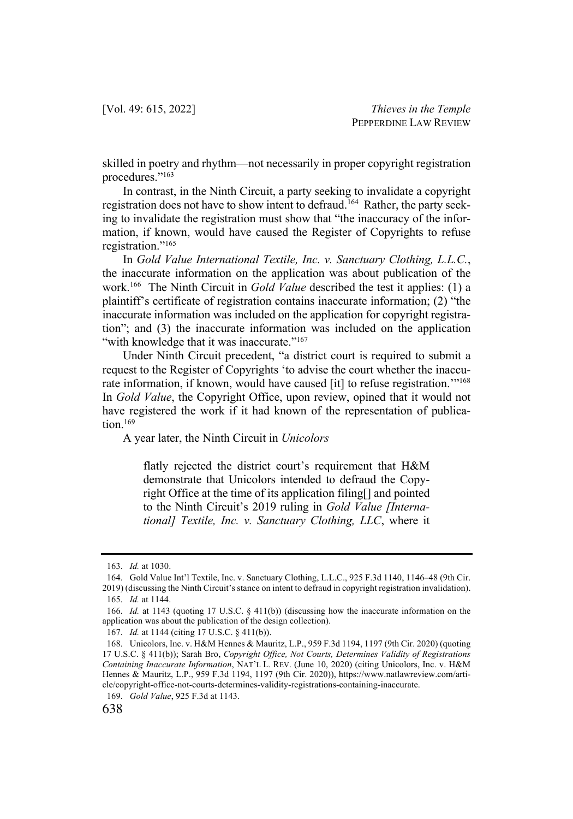skilled in poetry and rhythm—not necessarily in proper copyright registration procedures."163

In contrast, in the Ninth Circuit, a party seeking to invalidate a copyright registration does not have to show intent to defraud.164 Rather, the party seeking to invalidate the registration must show that "the inaccuracy of the information, if known, would have caused the Register of Copyrights to refuse registration."165

In *Gold Value International Textile, Inc. v. Sanctuary Clothing, L.L.C.*, the inaccurate information on the application was about publication of the work.166 The Ninth Circuit in *Gold Value* described the test it applies: (1) a plaintiff's certificate of registration contains inaccurate information; (2) "the inaccurate information was included on the application for copyright registration"; and (3) the inaccurate information was included on the application "with knowledge that it was inaccurate."<sup>167</sup>

Under Ninth Circuit precedent, "a district court is required to submit a request to the Register of Copyrights 'to advise the court whether the inaccurate information, if known, would have caused [it] to refuse registration."<sup>168</sup> In *Gold Value*, the Copyright Office, upon review, opined that it would not have registered the work if it had known of the representation of publication.<sup>169</sup>

A year later, the Ninth Circuit in *Unicolors*

flatly rejected the district court's requirement that H&M demonstrate that Unicolors intended to defraud the Copyright Office at the time of its application filing[] and pointed to the Ninth Circuit's 2019 ruling in *Gold Value [International] Textile, Inc. v. Sanctuary Clothing, LLC*, where it

<sup>163.</sup> *Id.* at 1030.

<sup>164.</sup> Gold Value Int'l Textile, Inc. v. Sanctuary Clothing, L.L.C., 925 F.3d 1140, 1146–48 (9th Cir. 2019) (discussing the Ninth Circuit's stance on intent to defraud in copyright registration invalidation). 165. *Id.* at 1144.

<sup>166.</sup> *Id.* at 1143 (quoting 17 U.S.C. § 411(b)) (discussing how the inaccurate information on the application was about the publication of the design collection).

<sup>167.</sup> *Id.* at 1144 (citing 17 U.S.C. § 411(b)).

<sup>168.</sup> Unicolors, Inc. v. H&M Hennes & Mauritz, L.P., 959 F.3d 1194, 1197 (9th Cir. 2020) (quoting 17 U.S.C. § 411(b)); Sarah Bro, *Copyright Office, Not Courts, Determines Validity of Registrations Containing Inaccurate Information*, NAT'L L. REV. (June 10, 2020) (citing Unicolors, Inc. v. H&M Hennes & Mauritz, L.P., 959 F.3d 1194, 1197 (9th Cir. 2020)), https://www.natlawreview.com/article/copyright-office-not-courts-determines-validity-registrations-containing-inaccurate.

<sup>169.</sup> *Gold Value*, 925 F.3d at 1143.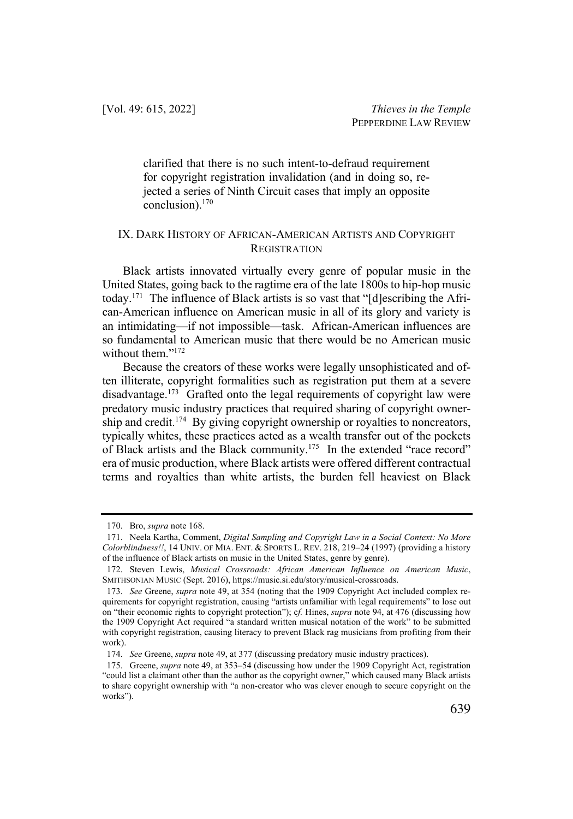clarified that there is no such intent-to-defraud requirement for copyright registration invalidation (and in doing so, rejected a series of Ninth Circuit cases that imply an opposite conclusion).170

#### IX. DARK HISTORY OF AFRICAN-AMERICAN ARTISTS AND COPYRIGHT **REGISTRATION**

Black artists innovated virtually every genre of popular music in the United States, going back to the ragtime era of the late 1800s to hip-hop music today.171 The influence of Black artists is so vast that "[d]escribing the African-American influence on American music in all of its glory and variety is an intimidating—if not impossible—task. African-American influences are so fundamental to American music that there would be no American music without them."<sup>172</sup>

Because the creators of these works were legally unsophisticated and often illiterate, copyright formalities such as registration put them at a severe disadvantage.<sup>173</sup> Grafted onto the legal requirements of copyright law were predatory music industry practices that required sharing of copyright ownership and credit.<sup>174</sup> By giving copyright ownership or royalties to noncreators, typically whites, these practices acted as a wealth transfer out of the pockets of Black artists and the Black community.<sup>175</sup> In the extended "race record" era of music production, where Black artists were offered different contractual terms and royalties than white artists, the burden fell heaviest on Black

<sup>170.</sup> Bro, *supra* note 168.

<sup>171.</sup> Neela Kartha, Comment, *Digital Sampling and Copyright Law in a Social Context: No More Colorblindness!!*, 14 UNIV. OF MIA. ENT. & SPORTS L. REV. 218, 219–24 (1997) (providing a history of the influence of Black artists on music in the United States, genre by genre).

<sup>172.</sup> Steven Lewis, *Musical Crossroads: African American Influence on American Music*, SMITHSONIAN MUSIC (Sept. 2016), https://music.si.edu/story/musical-crossroads.

<sup>173.</sup> *See* Greene, *supra* note 49, at 354 (noting that the 1909 Copyright Act included complex requirements for copyright registration, causing "artists unfamiliar with legal requirements" to lose out on "their economic rights to copyright protection"); c*f.* Hines, *supra* note 94, at 476 (discussing how the 1909 Copyright Act required "a standard written musical notation of the work" to be submitted with copyright registration, causing literacy to prevent Black rag musicians from profiting from their work).

<sup>174.</sup> *See* Greene, *supra* note 49, at 377 (discussing predatory music industry practices).

<sup>175.</sup> Greene, *supra* note 49, at 353–54 (discussing how under the 1909 Copyright Act, registration "could list a claimant other than the author as the copyright owner," which caused many Black artists to share copyright ownership with "a non-creator who was clever enough to secure copyright on the works").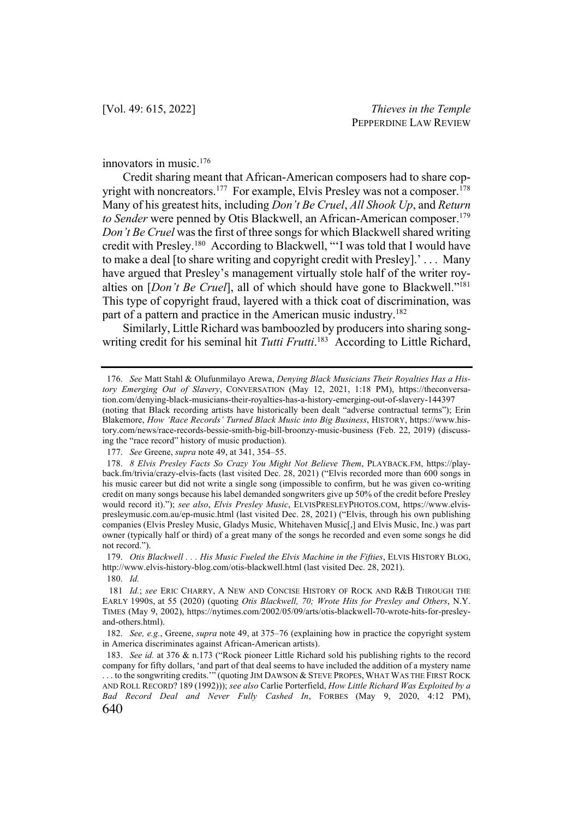innovators in music.176

Credit sharing meant that African-American composers had to share copyright with noncreators.<sup>177</sup> For example, Elvis Presley was not a composer.<sup>178</sup> Many of his greatest hits, including *Don't Be Cruel*, *All Shook Up*, and *Return to Sender* were penned by Otis Blackwell, an African-American composer. 179 *Don't Be Cruel* was the first of three songs for which Blackwell shared writing credit with Presley.180 According to Blackwell, "'I was told that I would have to make a deal [to share writing and copyright credit with Presley].' . . . Many have argued that Presley's management virtually stole half of the writer royalties on [*Don't Be Cruel*], all of which should have gone to Blackwell."181 This type of copyright fraud, layered with a thick coat of discrimination, was part of a pattern and practice in the American music industry.<sup>182</sup>

Similarly, Little Richard was bamboozled by producers into sharing songwriting credit for his seminal hit *Tutti Frutti*. <sup>183</sup> According to Little Richard,

180. *Id.*

<sup>176.</sup> *See* Matt Stahl & Olufunmilayo Arewa, *Denying Black Musicians Their Royalties Has a History Emerging Out of Slavery*, CONVERSATION (May 12, 2021, 1:18 PM), https://theconversation.com/denying-black-musicians-their-royalties-has-a-history-emerging-out-of-slavery-144397 (noting that Black recording artists have historically been dealt "adverse contractual terms"); Erin Blakemore, *How 'Race Records' Turned Black Music into Big Business*, HISTORY, https://www.history.com/news/race-records-bessie-smith-big-bill-broonzy-music-business (Feb. 22, 2019) (discussing the "race record" history of music production).

<sup>177.</sup> *See* Greene, *supra* note 49, at 341, 354–55.

<sup>178.</sup> *8 Elvis Presley Facts So Crazy You Might Not Believe Them*, PLAYBACK.FM, https://playback.fm/trivia/crazy-elvis-facts (last visited Dec. 28, 2021) ("Elvis recorded more than 600 songs in his music career but did not write a single song (impossible to confirm, but he was given co-writing credit on many songs because his label demanded songwriters give up 50% of the credit before Presley would record it)."); *see also*, *Elvis Presley Music*, ELVISPRESLEYPHOTOS.COM, https://www.elvispresleymusic.com.au/ep-music.html (last visited Dec. 28, 2021) ("Elvis, through his own publishing companies (Elvis Presley Music, Gladys Music, Whitehaven Music[,] and Elvis Music, Inc.) was part owner (typically half or third) of a great many of the songs he recorded and even some songs he did not record.").

<sup>179.</sup> *Otis Blackwell . . . His Music Fueled the Elvis Machine in the Fifties*, ELVIS HISTORY BLOG, http://www.elvis-history-blog.com/otis-blackwell.html (last visited Dec. 28, 2021).

<sup>181</sup> *Id.*; *see* ERIC CHARRY, A NEW AND CONCISE HISTORY OF ROCK AND R&B THROUGH THE EARLY 1990S, at 55 (2020) (quoting *Otis Blackwell, 70; Wrote Hits for Presley and Others*, N.Y. TIMES (May 9, 2002), https://nytimes.com/2002/05/09/arts/otis-blackwell-70-wrote-hits-for-presleyand-others.html).

<sup>182.</sup> *See, e.g.*, Greene, *supra* note 49, at 375–76 (explaining how in practice the copyright system in America discriminates against African-American artists).

<sup>640</sup> 183. *See id.* at 376 & n.173 ("Rock pioneer Little Richard sold his publishing rights to the record company for fifty dollars, 'and part of that deal seems to have included the addition of a mystery name . . . to the songwriting credits.'" (quoting JIM DAWSON & STEVE PROPES, WHAT WAS THE FIRST ROCK AND ROLL RECORD? 189 (1992))); *see also* Carlie Porterfield, *How Little Richard Was Exploited by a Bad Record Deal and Never Fully Cashed In*, FORBES (May 9, 2020, 4:12 PM),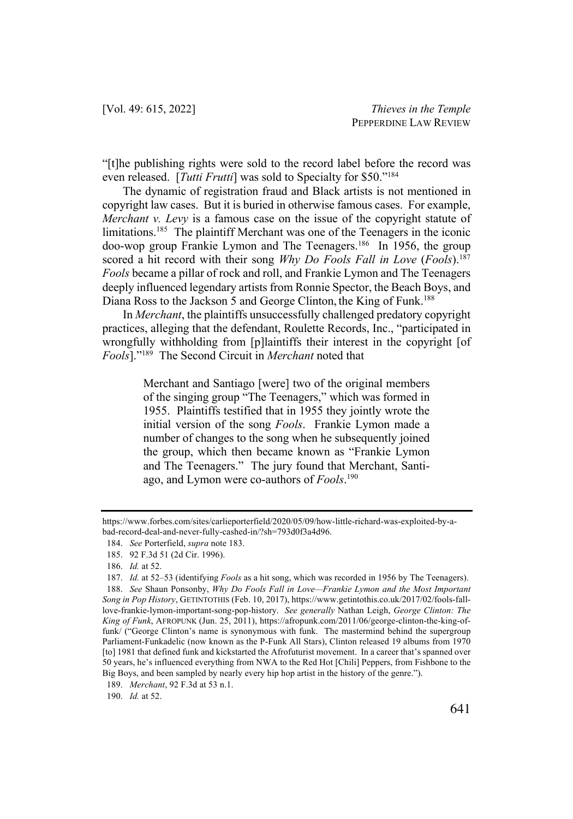"[t]he publishing rights were sold to the record label before the record was even released. [*Tutti Frutti*] was sold to Specialty for \$50."184

The dynamic of registration fraud and Black artists is not mentioned in copyright law cases. But it is buried in otherwise famous cases. For example, *Merchant v. Levy* is a famous case on the issue of the copyright statute of limitations.<sup>185</sup> The plaintiff Merchant was one of the Teenagers in the iconic doo-wop group Frankie Lymon and The Teenagers. <sup>186</sup> In 1956, the group scored a hit record with their song *Why Do Fools Fall in Love* (*Fools*). 187 *Fools* became a pillar of rock and roll, and Frankie Lymon and The Teenagers deeply influenced legendary artists from Ronnie Spector, the Beach Boys, and Diana Ross to the Jackson 5 and George Clinton, the King of Funk.<sup>188</sup>

In *Merchant*, the plaintiffs unsuccessfully challenged predatory copyright practices, alleging that the defendant, Roulette Records, Inc., "participated in wrongfully withholding from [p]laintiffs their interest in the copyright [of *Fools*]."189 The Second Circuit in *Merchant* noted that

> Merchant and Santiago [were] two of the original members of the singing group "The Teenagers," which was formed in 1955. Plaintiffs testified that in 1955 they jointly wrote the initial version of the song *Fools*. Frankie Lymon made a number of changes to the song when he subsequently joined the group, which then became known as "Frankie Lymon and The Teenagers." The jury found that Merchant, Santiago, and Lymon were co-authors of *Fools*. 190

190. *Id.* at 52.

https://www.forbes.com/sites/carlieporterfield/2020/05/09/how-little-richard-was-exploited-by-abad-record-deal-and-never-fully-cashed-in/?sh=793d0f3a4d96.

<sup>184.</sup> *See* Porterfield, *supra* note 183.

<sup>185.</sup> 92 F.3d 51 (2d Cir. 1996).

<sup>186.</sup> *Id.* at 52.

<sup>187.</sup> *Id.* at 52–53 (identifying *Fools* as a hit song, which was recorded in 1956 by The Teenagers). 188. *See* Shaun Ponsonby, *Why Do Fools Fall in Love—Frankie Lymon and the Most Important Song in Pop History*, GETINTOTHIS (Feb. 10, 2017), https://www.getintothis.co.uk/2017/02/fools-falllove-frankie-lymon-important-song-pop-history. *See generally* Nathan Leigh, *George Clinton: The King of Funk*, AFROPUNK (Jun. 25, 2011), https://afropunk.com/2011/06/george-clinton-the-king-offunk/ ("George Clinton's name is synonymous with funk. The mastermind behind the supergroup Parliament-Funkadelic (now known as the P-Funk All Stars), Clinton released 19 albums from 1970 [to] 1981 that defined funk and kickstarted the Afrofuturist movement. In a career that's spanned over 50 years, he's influenced everything from NWA to the Red Hot [Chili] Peppers, from Fishbone to the Big Boys, and been sampled by nearly every hip hop artist in the history of the genre.").

<sup>189.</sup> *Merchant*, 92 F.3d at 53 n.1.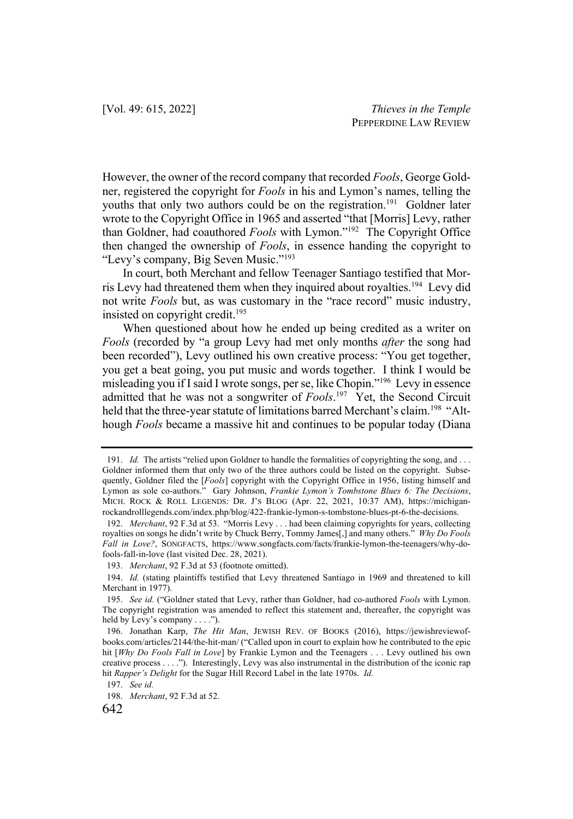However, the owner of the record company that recorded *Fools*, George Goldner, registered the copyright for *Fools* in his and Lymon's names, telling the youths that only two authors could be on the registration.<sup>191</sup> Goldner later wrote to the Copyright Office in 1965 and asserted "that [Morris] Levy, rather than Goldner, had coauthored *Fools* with Lymon."192 The Copyright Office then changed the ownership of *Fools*, in essence handing the copyright to "Levy's company, Big Seven Music."193

In court, both Merchant and fellow Teenager Santiago testified that Morris Levy had threatened them when they inquired about royalties.<sup>194</sup> Levy did not write *Fools* but, as was customary in the "race record" music industry, insisted on copyright credit.195

When questioned about how he ended up being credited as a writer on *Fools* (recorded by "a group Levy had met only months *after* the song had been recorded"), Levy outlined his own creative process: "You get together, you get a beat going, you put music and words together. I think I would be misleading you if I said I wrote songs, per se, like Chopin."196 Levy in essence admitted that he was not a songwriter of *Fools*. 197 Yet, the Second Circuit held that the three-year statute of limitations barred Merchant's claim.<sup>198</sup> "Although *Fools* became a massive hit and continues to be popular today (Diana

<sup>191.</sup> *Id.* The artists "relied upon Goldner to handle the formalities of copyrighting the song, and . . . Goldner informed them that only two of the three authors could be listed on the copyright. Subsequently, Goldner filed the [*Fools*] copyright with the Copyright Office in 1956, listing himself and Lymon as sole co-authors." Gary Johnson, *Frankie Lymon's Tombstone Blues 6: The Decisions*, MICH. ROCK & ROLL LEGENDS: DR. J'S BLOG (Apr. 22, 2021, 10:37 AM), https://michiganrockandrolllegends.com/index.php/blog/422-frankie-lymon-s-tombstone-blues-pt-6-the-decisions.

<sup>192.</sup> *Merchant*, 92 F.3d at 53. "Morris Levy . . . had been claiming copyrights for years, collecting royalties on songs he didn't write by Chuck Berry, Tommy James[,] and many others." *Why Do Fools Fall in Love?*, SONGFACTS, https://www.songfacts.com/facts/frankie-lymon-the-teenagers/why-dofools-fall-in-love (last visited Dec. 28, 2021).

<sup>193.</sup> *Merchant*, 92 F.3d at 53 (footnote omitted).

<sup>194.</sup> *Id.* (stating plaintiffs testified that Levy threatened Santiago in 1969 and threatened to kill Merchant in 1977).

<sup>195.</sup> *See id.* ("Goldner stated that Levy, rather than Goldner, had co-authored *Fools* with Lymon. The copyright registration was amended to reflect this statement and, thereafter, the copyright was held by Levy's company . . . .").

<sup>196.</sup> Jonathan Karp, *The Hit Man*, JEWISH REV. OF BOOKS (2016), https://jewishreviewofbooks.com/articles/2144/the-hit-man/ ("Called upon in court to explain how he contributed to the epic hit [*Why Do Fools Fall in Love*] by Frankie Lymon and the Teenagers . . . Levy outlined his own creative process . . . ."). Interestingly, Levy was also instrumental in the distribution of the iconic rap hit *Rapper's Delight* for the Sugar Hill Record Label in the late 1970s. *Id.*

<sup>197.</sup> *See id.*

<sup>198.</sup> *Merchant*, 92 F.3d at 52.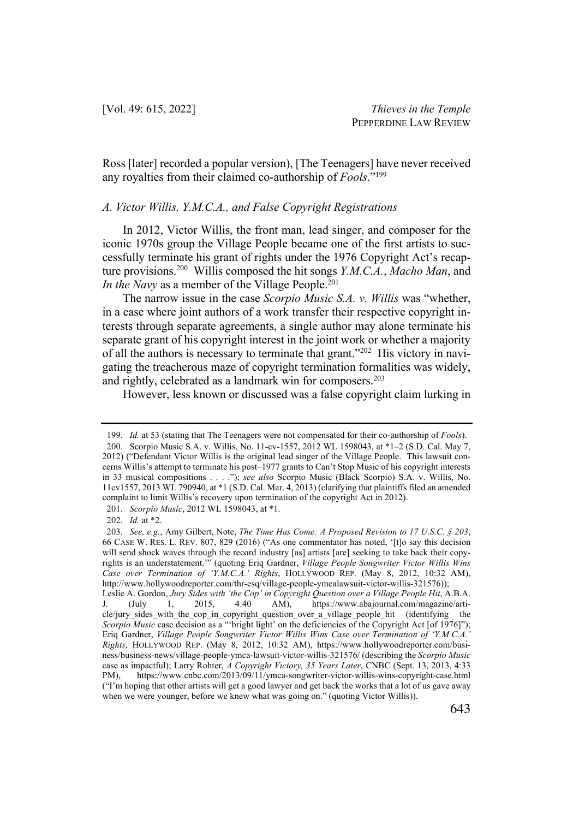Ross [later] recorded a popular version), [The Teenagers] have never received any royalties from their claimed co-authorship of *Fools*."199

#### *A. Victor Willis, Y.M.C.A., and False Copyright Registrations*

In 2012, Victor Willis, the front man, lead singer, and composer for the iconic 1970s group the Village People became one of the first artists to successfully terminate his grant of rights under the 1976 Copyright Act's recapture provisions.200 Willis composed the hit songs *Y.M.C.A.*, *Macho Man*, and *In the Navy* as a member of the Village People.<sup>201</sup>

The narrow issue in the case *Scorpio Music S.A. v. Willis* was "whether, in a case where joint authors of a work transfer their respective copyright interests through separate agreements, a single author may alone terminate his separate grant of his copyright interest in the joint work or whether a majority of all the authors is necessary to terminate that grant."202 His victory in navigating the treacherous maze of copyright termination formalities was widely, and rightly, celebrated as a landmark win for composers.<sup>203</sup>

However, less known or discussed was a false copyright claim lurking in

<sup>199.</sup> *Id.* at 53 (stating that The Teenagers were not compensated for their co-authorship of *Fools*). 200. Scorpio Music S.A. v. Willis, No. 11-cv-1557, 2012 WL 1598043, at \*1–2 (S.D. Cal. May 7, 2012) ("Defendant Victor Willis is the original lead singer of the Village People. This lawsuit concerns Willis's attempt to terminate his post–1977 grants to Can't Stop Music of his copyright interests in 33 musical compositions . . . ."); *see also* Scorpio Music (Black Scorpio) S.A. v. Willis, No. 11cv1557, 2013 WL 790940, at \*1 (S.D. Cal. Mar. 4, 2013) (clarifying that plaintiffs filed an amended complaint to limit Willis's recovery upon termination of the copyright Act in 2012).

<sup>201.</sup> *Scorpio Music*, 2012 WL 1598043, at \*1.

<sup>202.</sup> *Id.* at \*2.

<sup>203.</sup> *See, e.g.*, Amy Gilbert, Note, *The Time Has Come: A Proposed Revision to 17 U.S.C. § 203*, 66 CASE W. RES. L. REV. 807, 829 (2016) ("As one commentator has noted, '[t]o say this decision will send shock waves through the record industry [as] artists [are] seeking to take back their copyrights is an understatement.'" (quoting Eriq Gardner, *Village People Songwriter Victor Willis Wins Case over Termination of 'Y.M.C.A.' Rights*, HOLLYWOOD REP. (May 8, 2012, 10:32 AM), http://www.hollywoodreporter.com/thr-esq/village-people-ymcalawsuit-victor-willis-321576));

Leslie A. Gordon, *Jury Sides with 'the Cop' in Copyright Question over a Village People Hit*, A.B.A. J. (July 1, 2015, 4:40 AM), https://www.abajournal.com/magazine/article/jury sides with the cop in copyright question over a village people hit (identifying the *Scorpio Music* case decision as a "'bright light' on the deficiencies of the Copyright Act [of 1976]"); Eriq Gardner, *Village People Songwriter Victor Willis Wins Case over Termination of 'Y.M.C.A.' Rights*, HOLLYWOOD REP. (May 8, 2012, 10:32 AM), https://www.hollywoodreporter.com/business/business-news/village-people-ymca-lawsuit-victor-willis-321576/ (describing the *Scorpio Music*  case as impactful); Larry Rohter, *A Copyright Victory, 35 Years Later*, CNBC (Sept. 13, 2013, 4:33 PM), https://www.cnbc.com/2013/09/11/ymca-songwriter-victor-willis-wins-copyright-case.html ("I'm hoping that other artists will get a good lawyer and get back the works that a lot of us gave away when we were younger, before we knew what was going on." (quoting Victor Willis)).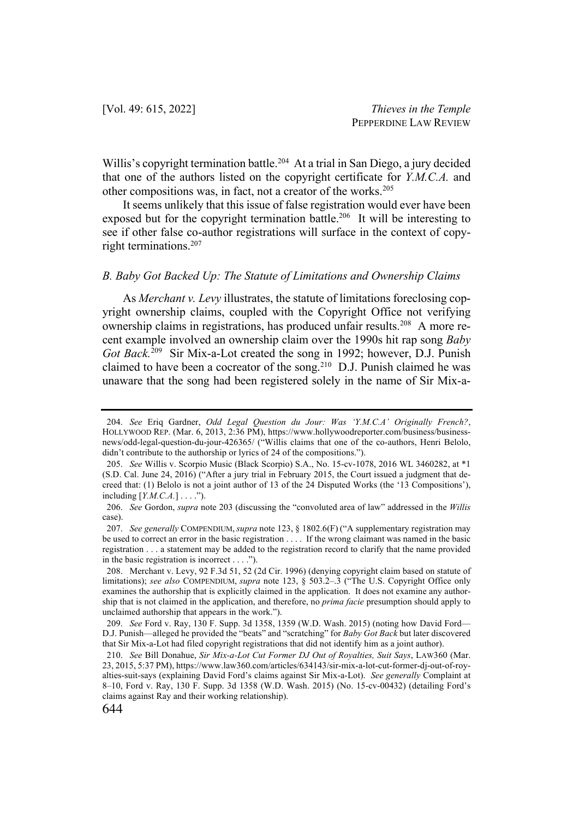Willis's copyright termination battle.<sup>204</sup> At a trial in San Diego, a jury decided that one of the authors listed on the copyright certificate for *Y.M.C.A.* and other compositions was, in fact, not a creator of the works.<sup>205</sup>

It seems unlikely that this issue of false registration would ever have been exposed but for the copyright termination battle.<sup>206</sup> It will be interesting to see if other false co-author registrations will surface in the context of copyright terminations.207

#### *B. Baby Got Backed Up: The Statute of Limitations and Ownership Claims*

As *Merchant v. Levy* illustrates, the statute of limitations foreclosing copyright ownership claims, coupled with the Copyright Office not verifying ownership claims in registrations, has produced unfair results.<sup>208</sup> A more recent example involved an ownership claim over the 1990s hit rap song *Baby Got Back.*<sup>209</sup> Sir Mix-a-Lot created the song in 1992; however, D.J. Punish claimed to have been a cocreator of the song.<sup>210</sup> D.J. Punish claimed he was unaware that the song had been registered solely in the name of Sir Mix-a-

<sup>204.</sup> *See* Eriq Gardner, *Odd Legal Question du Jour: Was 'Y.M.C.A' Originally French?*, HOLLYWOOD REP. (Mar. 6, 2013, 2:36 PM), https://www.hollywoodreporter.com/business/businessnews/odd-legal-question-du-jour-426365/ ("Willis claims that one of the co-authors, Henri Belolo, didn't contribute to the authorship or lyrics of 24 of the compositions.").

<sup>205.</sup> *See* Willis v. Scorpio Music (Black Scorpio) S.A., No. 15-cv-1078, 2016 WL 3460282, at \*1 (S.D. Cal. June 24, 2016) ("After a jury trial in February 2015, the Court issued a judgment that decreed that: (1) Belolo is not a joint author of 13 of the 24 Disputed Works (the '13 Compositions'), including [*Y.M.C.A.*] . . . .").

<sup>206.</sup> *See* Gordon, *supra* note 203 (discussing the "convoluted area of law" addressed in the *Willis*  case).

<sup>207.</sup> *See generally* COMPENDIUM, *supra* note 123, § 1802.6(F) ("A supplementary registration may be used to correct an error in the basic registration . . . . If the wrong claimant was named in the basic registration . . . a statement may be added to the registration record to clarify that the name provided in the basic registration is incorrect . . . .").

<sup>208.</sup> Merchant v. Levy, 92 F.3d 51, 52 (2d Cir. 1996) (denying copyright claim based on statute of limitations); *see also* COMPENDIUM, *supra* note 123, § 503.2–.3 ("The U.S. Copyright Office only examines the authorship that is explicitly claimed in the application. It does not examine any authorship that is not claimed in the application, and therefore, no *prima facie* presumption should apply to unclaimed authorship that appears in the work.").

<sup>209.</sup> *See* Ford v. Ray, 130 F. Supp. 3d 1358, 1359 (W.D. Wash. 2015) (noting how David Ford— D.J. Punish—alleged he provided the "beats" and "scratching" for *Baby Got Back* but later discovered that Sir Mix-a-Lot had filed copyright registrations that did not identify him as a joint author).

<sup>210.</sup> *See* Bill Donahue, *Sir Mix-a-Lot Cut Former DJ Out of Royalties, Suit Says*, LAW360 (Mar. 23, 2015, 5:37 PM), https://www.law360.com/articles/634143/sir-mix-a-lot-cut-former-dj-out-of-royalties-suit-says (explaining David Ford's claims against Sir Mix-a-Lot). *See generally* Complaint at 8–10, Ford v. Ray, 130 F. Supp. 3d 1358 (W.D. Wash. 2015) (No. 15-cv-00432) (detailing Ford's claims against Ray and their working relationship).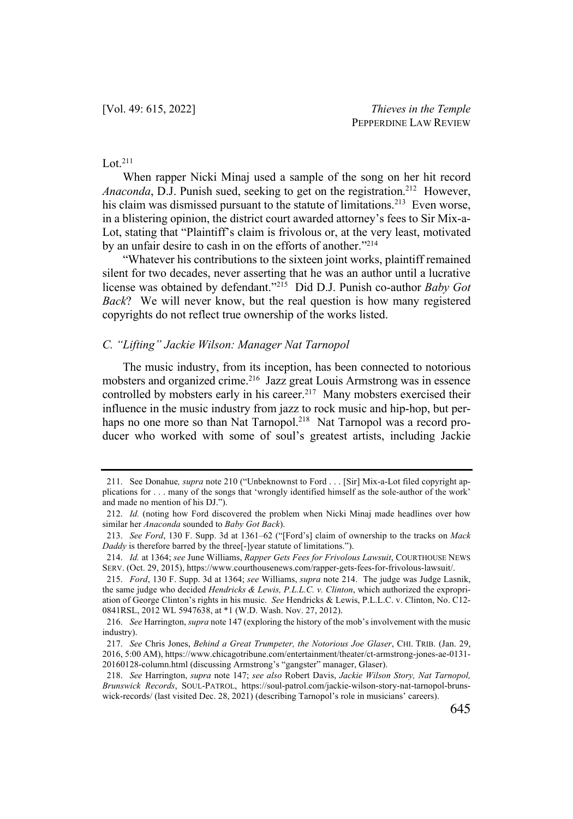# $Lot.<sup>211</sup>$

When rapper Nicki Minaj used a sample of the song on her hit record Anaconda, D.J. Punish sued, seeking to get on the registration.<sup>212</sup> However, his claim was dismissed pursuant to the statute of limitations.<sup>213</sup> Even worse, in a blistering opinion, the district court awarded attorney's fees to Sir Mix-a-Lot, stating that "Plaintiff's claim is frivolous or, at the very least, motivated by an unfair desire to cash in on the efforts of another."<sup>214</sup>

"Whatever his contributions to the sixteen joint works, plaintiff remained silent for two decades, never asserting that he was an author until a lucrative license was obtained by defendant."215 Did D.J. Punish co-author *Baby Got Back*? We will never know, but the real question is how many registered copyrights do not reflect true ownership of the works listed.

### *C. "Lifting" Jackie Wilson: Manager Nat Tarnopol*

The music industry, from its inception, has been connected to notorious mobsters and organized crime.<sup>216</sup> Jazz great Louis Armstrong was in essence controlled by mobsters early in his career.<sup>217</sup> Many mobsters exercised their influence in the music industry from jazz to rock music and hip-hop, but perhaps no one more so than Nat Tarnopol.<sup>218</sup> Nat Tarnopol was a record producer who worked with some of soul's greatest artists, including Jackie

<sup>211.</sup> See Donahue*, supra* note 210 ("Unbeknownst to Ford . . . [Sir] Mix-a-Lot filed copyright applications for . . . many of the songs that 'wrongly identified himself as the sole-author of the work' and made no mention of his DJ.").

<sup>212.</sup> *Id.* (noting how Ford discovered the problem when Nicki Minaj made headlines over how similar her *Anaconda* sounded to *Baby Got Back*).

<sup>213.</sup> *See Ford*, 130 F. Supp. 3d at 1361–62 ("[Ford's] claim of ownership to the tracks on *Mack Daddy* is therefore barred by the three[-]year statute of limitations.").

<sup>214.</sup> *Id.* at 1364; *see* June Williams, *Rapper Gets Fees for Frivolous Lawsuit*, COURTHOUSE NEWS SERV. (Oct. 29, 2015), https://www.courthousenews.com/rapper-gets-fees-for-frivolous-lawsuit/.

<sup>215.</sup> *Ford*, 130 F. Supp. 3d at 1364; *see* Williams, *supra* note 214. The judge was Judge Lasnik, the same judge who decided *Hendricks & Lewis, P.L.L.C. v. Clinton*, which authorized the expropriation of George Clinton's rights in his music. *See* Hendricks & Lewis, P.L.L.C. v. Clinton, No. C12- 0841RSL, 2012 WL 5947638, at \*1 (W.D. Wash. Nov. 27, 2012).

<sup>216.</sup> *See* Harrington, *supra* note 147 (exploring the history of the mob's involvement with the music industry).

<sup>217.</sup> *See* Chris Jones, *Behind a Great Trumpeter, the Notorious Joe Glaser*, CHI. TRIB. (Jan. 29, 2016, 5:00 AM), https://www.chicagotribune.com/entertainment/theater/ct-armstrong-jones-ae-0131- 20160128-column.html (discussing Armstrong's "gangster" manager, Glaser).

<sup>218.</sup> *See* Harrington, *supra* note 147; *see also* Robert Davis, *Jackie Wilson Story, Nat Tarnopol, Brunswick Records*, SOUL-PATROL, https://soul-patrol.com/jackie-wilson-story-nat-tarnopol-brunswick-records/ (last visited Dec. 28, 2021) (describing Tarnopol's role in musicians' careers).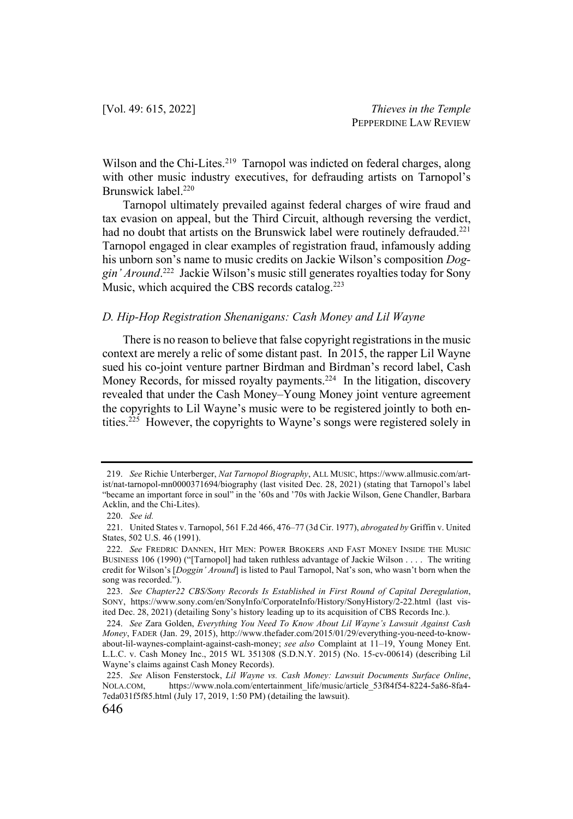Wilson and the Chi-Lites.<sup>219</sup> Tarnopol was indicted on federal charges, along with other music industry executives, for defrauding artists on Tarnopol's Brunswick label.<sup>220</sup>

Tarnopol ultimately prevailed against federal charges of wire fraud and tax evasion on appeal, but the Third Circuit, although reversing the verdict, had no doubt that artists on the Brunswick label were routinely defrauded.<sup>221</sup> Tarnopol engaged in clear examples of registration fraud, infamously adding his unborn son's name to music credits on Jackie Wilson's composition *Doggin' Around*. 222 Jackie Wilson's music still generates royalties today for Sony Music, which acquired the CBS records catalog.<sup>223</sup>

#### *D. Hip-Hop Registration Shenanigans: Cash Money and Lil Wayne*

There is no reason to believe that false copyright registrations in the music context are merely a relic of some distant past. In 2015, the rapper Lil Wayne sued his co-joint venture partner Birdman and Birdman's record label, Cash Money Records, for missed royalty payments.<sup>224</sup> In the litigation, discovery revealed that under the Cash Money–Young Money joint venture agreement the copyrights to Lil Wayne's music were to be registered jointly to both entities.225 However, the copyrights to Wayne's songs were registered solely in

<sup>219.</sup> *See* Richie Unterberger, *Nat Tarnopol Biography*, ALL MUSIC, https://www.allmusic.com/artist/nat-tarnopol-mn0000371694/biography (last visited Dec. 28, 2021) (stating that Tarnopol's label "became an important force in soul" in the '60s and '70s with Jackie Wilson, Gene Chandler, Barbara Acklin, and the Chi-Lites).

<sup>220.</sup> *See id.*

<sup>221.</sup> United States v. Tarnopol, 561 F.2d 466, 476–77 (3d Cir. 1977), *abrogated by* Griffin v. United States, 502 U.S. 46 (1991).

<sup>222.</sup> *See* FREDRIC DANNEN, HIT MEN: POWER BROKERS AND FAST MONEY INSIDE THE MUSIC BUSINESS 106 (1990) ("[Tarnopol] had taken ruthless advantage of Jackie Wilson . . . . The writing credit for Wilson's [*Doggin' Around*] is listed to Paul Tarnopol, Nat's son, who wasn't born when the song was recorded.").

<sup>223.</sup> *See Chapter22 CBS/Sony Records Is Established in First Round of Capital Deregulation*, SONY, https://www.sony.com/en/SonyInfo/CorporateInfo/History/SonyHistory/2-22.html (last visited Dec. 28, 2021) (detailing Sony's history leading up to its acquisition of CBS Records Inc.).

<sup>224.</sup> *See* Zara Golden, *Everything You Need To Know About Lil Wayne's Lawsuit Against Cash Money*, FADER (Jan. 29, 2015), http://www.thefader.com/2015/01/29/everything-you-need-to-knowabout-lil-waynes-complaint-against-cash-money; *see also* Complaint at 11–19, Young Money Ent. L.L.C. v. Cash Money Inc., 2015 WL 351308 (S.D.N.Y. 2015) (No. 15-cv-00614) (describing Lil Wayne's claims against Cash Money Records).

<sup>225.</sup> *See* Alison Fensterstock, *Lil Wayne vs. Cash Money: Lawsuit Documents Surface Online*, NOLA.COM, https://www.nola.com/entertainment\_life/music/article\_53f84f54-8224-5a86-8fa4- 7eda031f5f85.html (July 17, 2019, 1:50 PM) (detailing the lawsuit).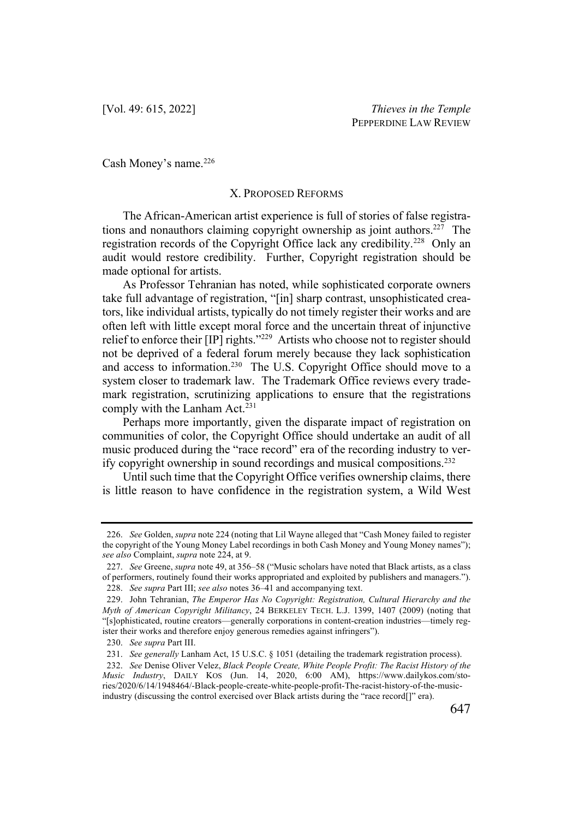Cash Money's name.<sup>226</sup>

### X. PROPOSED REFORMS

The African-American artist experience is full of stories of false registrations and nonauthors claiming copyright ownership as joint authors.<sup>227</sup> The registration records of the Copyright Office lack any credibility.228 Only an audit would restore credibility. Further, Copyright registration should be made optional for artists.

As Professor Tehranian has noted, while sophisticated corporate owners take full advantage of registration, "[in] sharp contrast, unsophisticated creators, like individual artists, typically do not timely register their works and are often left with little except moral force and the uncertain threat of injunctive relief to enforce their [IP] rights."<sup>229</sup> Artists who choose not to register should not be deprived of a federal forum merely because they lack sophistication and access to information.<sup>230</sup> The U.S. Copyright Office should move to a system closer to trademark law. The Trademark Office reviews every trademark registration, scrutinizing applications to ensure that the registrations comply with the Lanham Act. $231$ 

Perhaps more importantly, given the disparate impact of registration on communities of color, the Copyright Office should undertake an audit of all music produced during the "race record" era of the recording industry to verify copyright ownership in sound recordings and musical compositions.232

Until such time that the Copyright Office verifies ownership claims, there is little reason to have confidence in the registration system, a Wild West

<sup>226.</sup> *See* Golden, *supra* note 224 (noting that Lil Wayne alleged that "Cash Money failed to register the copyright of the Young Money Label recordings in both Cash Money and Young Money names"); *see also* Complaint, *supra* note 224, at 9.

<sup>227.</sup> *See* Greene, *supra* note 49, at 356–58 ("Music scholars have noted that Black artists, as a class of performers, routinely found their works appropriated and exploited by publishers and managers."). 228. *See supra* Part III; *see also* notes 36–41 and accompanying text.

<sup>229.</sup> John Tehranian, *The Emperor Has No Copyright: Registration, Cultural Hierarchy and the* 

*Myth of American Copyright Militancy*, 24 BERKELEY TECH. L.J. 1399, 1407 (2009) (noting that "[s]ophisticated, routine creators—generally corporations in content-creation industries—timely register their works and therefore enjoy generous remedies against infringers").

<sup>230.</sup> *See supra* Part III.

<sup>231.</sup> *See generally* Lanham Act, 15 U.S.C. § 1051 (detailing the trademark registration process).

<sup>232.</sup> *See* Denise Oliver Velez, *Black People Create, White People Profit: The Racist History of the Music Industry*, DAILY KOS (Jun. 14, 2020, 6:00 AM), https://www.dailykos.com/stories/2020/6/14/1948464/-Black-people-create-white-people-profit-The-racist-history-of-the-musicindustry (discussing the control exercised over Black artists during the "race record[]" era).